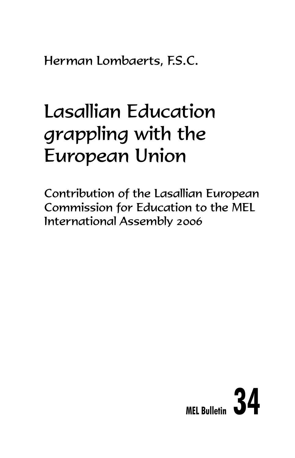Herman Lombaerts, F.S.C.

# Lasallian Education grappling with the European Union

Contribution of the Lasallian European Commission for Education to the MEL International Assembly 2006

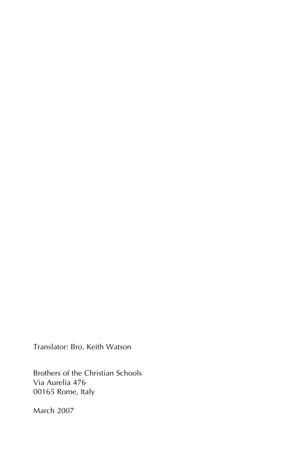Translator: Bro. Keith Watson

Brothers of the Christian Schools Via Aurelia 476 00165 Rome, Italy

March 2007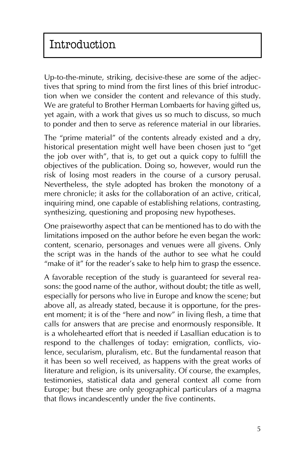Up-to-the-minute, striking, decisive-these are some of the adjectives that spring to mind from the first lines of this brief introduction when we consider the content and relevance of this study. We are grateful to Brother Herman Lombaerts for having gifted us, yet again, with a work that gives us so much to discuss, so much to ponder and then to serve as reference material in our libraries.

The "prime material" of the contents already existed and a dry, historical presentation might well have been chosen just to "get the job over with", that is, to get out a quick copy to fulfill the objectives of the publication. Doing so, however, would run the risk of losing most readers in the course of a cursory perusal. Nevertheless, the style adopted has broken the monotony of a mere chronicle; it asks for the collaboration of an active, critical, inquiring mind, one capable of establishing relations, contrasting, synthesizing, questioning and proposing new hypotheses.

One praiseworthy aspect that can be mentioned has to do with the limitations imposed on the author before he even began the work: content, scenario, personages and venues were all givens. Only the script was in the hands of the author to see what he could "make of it" for the reader's sake to help him to grasp the essence.

A favorable reception of the study is guaranteed for several reasons: the good name of the author, without doubt; the title as well, especially for persons who live in Europe and know the scene; but above all, as already stated, because it is opportune, for the present moment; it is of the "here and now" in living flesh, a time that calls for answers that are precise and enormously responsible. It is a wholehearted effort that is needed if Lasallian education is to respond to the challenges of today: emigration, conflicts, violence, secularism, pluralism, etc. But the fundamental reason that it has been so well received, as happens with the great works of literature and religion, is its universality. Of course, the examples, testimonies, statistical data and general context all come from Europe; but these are only geographical particulars of a magma that flows incandescently under the five continents.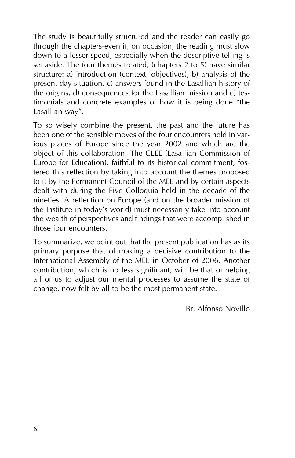The study is beautifully structured and the reader can easily go through the chapters-even if, on occasion, the reading must slow down to a lesser speed, especially when the descriptive telling is set aside. The four themes treated, (chapters 2 to 5) have similar structure: a) introduction (context, objectives), b) analysis of the present day situation, c) answers found in the Lasallian history of the origins, d) consequences for the Lasallian mission and e) testimonials and concrete examples of how it is being done "the Lasallian way".

To so wisely combine the present, the past and the future has been one of the sensible moves of the four encounters held in various places of Europe since the year 2002 and which are the object of this collaboration. The CLEE (Lasallian Commission of Europe for Education), faithful to its historical commitment, fostered this reflection by taking into account the themes proposed to it by the Permanent Council of the MEL and by certain aspects dealt with during the Five Colloquia held in the decade of the nineties. A reflection on Europe (and on the broader mission of the Institute in today's world) must necessarily take into account the wealth of perspectives and findings that were accomplished in those four encounters.

To summarize, we point out that the present publication has as its primary purpose that of making a decisive contribution to the International Assembly of the MEL in October of 2006. Another contribution, which is no less significant, will be that of helping all of us to adjust our mental processes to assume the state of change, now felt by all to be the most permanent state.

Br. Alfonso Novillo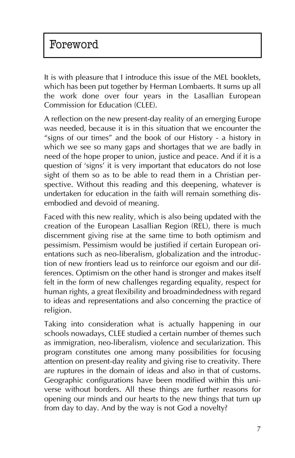It is with pleasure that I introduce this issue of the MEL booklets, which has been put together by Herman Lombaerts. It sums up all the work done over four years in the Lasallian European Commission for Education (CLEE).

A reflection on the new present-day reality of an emerging Europe was needed, because it is in this situation that we encounter the "signs of our times" and the book of our History - a history in which we see so many gaps and shortages that we are badly in need of the hope proper to union, justice and peace. And if it is a question of 'signs' it is very important that educators do not lose sight of them so as to be able to read them in a Christian perspective. Without this reading and this deepening, whatever is undertaken for education in the faith will remain something disembodied and devoid of meaning.

Faced with this new reality, which is also being updated with the creation of the European Lasallian Region (REL), there is much discernment giving rise at the same time to both optimism and pessimism. Pessimism would be justified if certain European orientations such as neo-liberalism, globalization and the introduction of new frontiers lead us to reinforce our egoism and our differences. Optimism on the other hand is stronger and makes itself felt in the form of new challenges regarding equality, respect for human rights, a great flexibility and broadmindedness with regard to ideas and representations and also concerning the practice of religion.

Taking into consideration what is actually happening in our schools nowadays, CLEE studied a certain number of themes such as immigration, neo-liberalism, violence and secularization. This program constitutes one among many possibilities for focusing attention on present-day reality and giving rise to creativity. There are ruptures in the domain of ideas and also in that of customs. Geographic configurations have been modified within this universe without borders. All these things are further reasons for opening our minds and our hearts to the new things that turn up from day to day. And by the way is not God a novelty?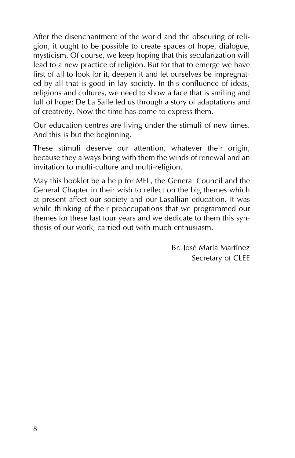After the disenchantment of the world and the obscuring of religion, it ought to be possible to create spaces of hope, dialogue, mysticism. Of course, we keep hoping that this secularization will lead to a new practice of religion. But for that to emerge we have first of all to look for it, deepen it and let ourselves be impregnated by all that is good in lay society. In this confluence of ideas, religions and cultures, we need to show a face that is smiling and full of hope: De La Salle led us through a story of adaptations and of creativity. Now the time has come to express them.

Our education centres are living under the stimuli of new times. And this is but the beginning.

These stimuli deserve our attention, whatever their origin, because they always bring with them the winds of renewal and an invitation to multi-culture and multi-religion.

May this booklet be a help for MEL, the General Council and the General Chapter in their wish to reflect on the big themes which at present affect our society and our Lasallian education. It was while thinking of their preoccupations that we programmed our themes for these last four years and we dedicate to them this synthesis of our work, carried out with much enthusiasm.

> Br. José María Martínez Secretary of CLEE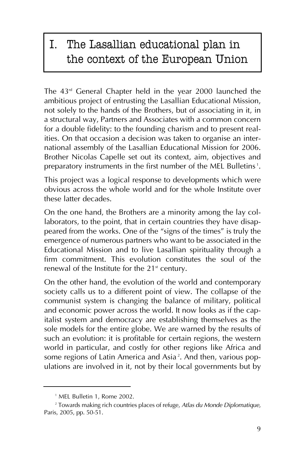# I. The Lasallian educational plan in the context of the European Union

The 43rd General Chapter held in the year 2000 launched the ambitious project of entrusting the Lasallian Educational Mission, not solely to the hands of the Brothers, but of associating in it, in a structural way, Partners and Associates with a common concern for a double fidelity: to the founding charism and to present realities. On that occasion a decision was taken to organise an international assembly of the Lasallian Educational Mission for 2006. Brother Nicolas Capelle set out its context, aim, objectives and preparatory instruments in the first number of the MEL Bulletins<sup>1</sup>.

This project was a logical response to developments which were obvious across the whole world and for the whole Institute over these latter decades.

On the one hand, the Brothers are a minority among the lay collaborators, to the point, that in certain countries they have disappeared from the works. One of the "signs of the times" is truly the emergence of numerous partners who want to be associated in the Educational Mission and to live Lasallian spirituality through a firm commitment. This evolution constitutes the soul of the renewal of the Institute for the  $21<sup>st</sup>$  century.

On the other hand, the evolution of the world and contemporary society calls us to a different point of view. The collapse of the communist system is changing the balance of military, political and economic power across the world. It now looks as if the capitalist system and democracy are establishing themselves as the sole models for the entire globe. We are warned by the results of such an evolution: it is profitable for certain regions, the western world in particular, and costly for other regions like Africa and some regions of Latin America and Asia<sup>2</sup>. And then, various populations are involved in it, not by their local governments but by

<sup>&</sup>lt;sup>1</sup> MEL Bulletin 1, Rome 2002.

<sup>2</sup> Towards making rich countries places of refuge, *Atlas du Monde Diplomatique*, Paris, 2005, pp. 50-51.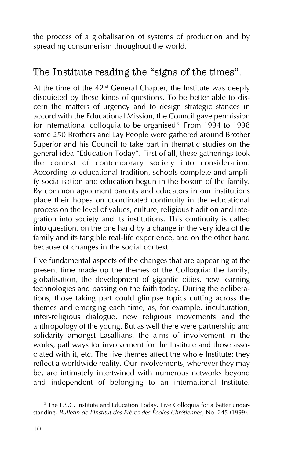the process of a globalisation of systems of production and by spreading consumerism throughout the world.

### The Institute reading the "signs of the times".

At the time of the  $42<sup>nd</sup>$  General Chapter, the Institute was deeply disquieted by these kinds of questions. To be better able to discern the matters of urgency and to design strategic stances in accord with the Educational Mission, the Council gave permission for international colloquia to be organised<sup>3</sup>. From 1994 to 1998 some 250 Brothers and Lay People were gathered around Brother Superior and his Council to take part in thematic studies on the general idea "Education Today". First of all, these gatherings took the context of contemporary society into consideration. According to educational tradition, schools complete and amplify socialisation and education begun in the bosom of the family. By common agreement parents and educators in our institutions place their hopes on coordinated continuity in the educational process on the level of values, culture, religious tradition and integration into society and its institutions. This continuity is called into question, on the one hand by a change in the very idea of the family and its tangible real-life experience, and on the other hand because of changes in the social context.

Five fundamental aspects of the changes that are appearing at the present time made up the themes of the Colloquia: the family, globalisation, the development of gigantic cities, new learning technologies and passing on the faith today. During the deliberations, those taking part could glimpse topics cutting across the themes and emerging each time, as, for example, inculturation, inter-religious dialogue, new religious movements and the anthropology of the young. But as well there were partnership and solidarity amongst Lasallians, the aims of involvement in the works, pathways for involvement for the Institute and those associated with it, etc. The five themes affect the whole Institute; they reflect a worldwide reality. Our involvements, wherever they may be, are intimately intertwined with numerous networks beyond and independent of belonging to an international Institute.

<sup>&</sup>lt;sup>3</sup> The F.S.C. Institute and Education Today. Five Colloquia for a better understanding, *Bulletin de l'Institut des Frères des Écoles Chrétiennes*, No. 245 (1999).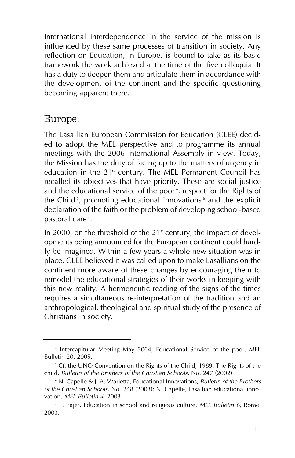International interdependence in the service of the mission is influenced by these same processes of transition in society. Any reflection on Education, in Europe, is bound to take as its basic framework the work achieved at the time of the five colloquia. It has a duty to deepen them and articulate them in accordance with the development of the continent and the specific questioning becoming apparent there.

#### Europe.

The Lasallian European Commission for Education (CLEE) decided to adopt the MEL perspective and to programme its annual meetings with the 2006 International Assembly in view. Today, the Mission has the duty of facing up to the matters of urgency in education in the 21<sup>st</sup> century. The MEL Permanent Council has recalled its objectives that have priority. These are social justice and the educational service of the poor<sup>4</sup>, respect for the Rights of the Child <sup>5</sup>, promoting educational innovations <sup>6</sup> and the explicit declaration of the faith or the problem of developing school-based pastoral care<sup>7</sup>.

In 2000, on the threshold of the  $21<sup>s</sup>$  century, the impact of developments being announced for the European continent could hardly be imagined. Within a few years a whole new situation was in place. CLEE believed it was called upon to make Lasallians on the continent more aware of these changes by encouraging them to remodel the educational strategies of their works in keeping with this new reality. A hermeneutic reading of the signs of the times requires a simultaneous re-interpretation of the tradition and an anthropological, theological and spiritual study of the presence of Christians in society.

<sup>4</sup> Intercapitular Meeting May 2004, Educational Service of the poor, MEL Bulletin 20, 2005.

<sup>&</sup>lt;sup>5</sup> Cf. the UNO Convention on the Rights of the Child, 1989, The Rights of the child, *Bulletin of the Brothers of the Christian Schools*, No. 247 (2002)

<sup>6</sup> N. Capelle & J. A. Warletta, Educational Innovations, *Bulletin of the Brothers of the Christian Schools*, No. 248 (2003); N. Capelle, Lasallian educational innovation, *MEL Bulletin 4*, 2003.

<sup>7</sup> F. Pajer, Education in school and religious culture, *MEL Bulletin 6*, Rome, 2003.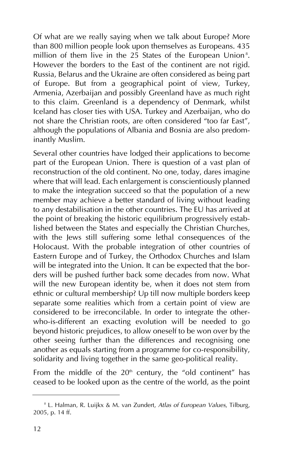Of what are we really saying when we talk about Europe? More than 800 million people look upon themselves as Europeans. 435 million of them live in the 25 States of the European Union<sup>8</sup>. However the borders to the East of the continent are not rigid. Russia, Belarus and the Ukraine are often considered as being part of Europe. But from a geographical point of view, Turkey, Armenia, Azerbaijan and possibly Greenland have as much right to this claim. Greenland is a dependency of Denmark, whilst Iceland has closer ties with USA. Turkey and Azerbaijan, who do not share the Christian roots, are often considered "too far East", although the populations of Albania and Bosnia are also predominantly Muslim.

Several other countries have lodged their applications to become part of the European Union. There is question of a vast plan of reconstruction of the old continent. No one, today, dares imagine where that will lead. Each enlargement is conscientiously planned to make the integration succeed so that the population of a new member may achieve a better standard of living without leading to any destabilisation in the other countries. The EU has arrived at the point of breaking the historic equilibrium progressively established between the States and especially the Christian Churches, with the Jews still suffering some lethal consequences of the Holocaust. With the probable integration of other countries of Eastern Europe and of Turkey, the Orthodox Churches and Islam will be integrated into the Union. It can be expected that the borders will be pushed further back some decades from now. What will the new European identity be, when it does not stem from ethnic or cultural membership? Up till now multiple borders keep separate some realities which from a certain point of view are considered to be irreconcilable. In order to integrate the otherwho-is-different an exacting evolution will be needed to go beyond historic prejudices, to allow oneself to be won over by the other seeing further than the differences and recognising one another as equals starting from a programme for co-responsibility, solidarity and living together in the same geo-political reality.

From the middle of the  $20<sup>th</sup>$  century, the "old continent" has ceased to be looked upon as the centre of the world, as the point

<sup>8</sup> L. Halman, R. Luijkx & M. van Zundert, *Atlas of European Values*, Tilburg, 2005, p. 14 ff.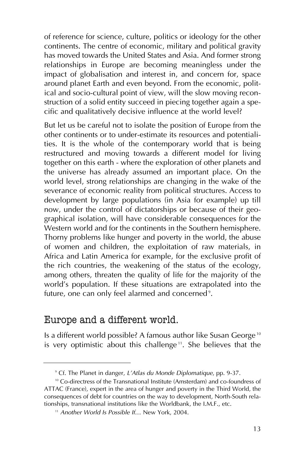of reference for science, culture, politics or ideology for the other continents. The centre of economic, military and political gravity has moved towards the United States and Asia. And former strong relationships in Europe are becoming meaningless under the impact of globalisation and interest in, and concern for, space around planet Earth and even beyond. From the economic, political and socio-cultural point of view, will the slow moving reconstruction of a solid entity succeed in piecing together again a specific and qualitatively decisive influence at the world level?

But let us be careful not to isolate the position of Europe from the other continents or to under-estimate its resources and potentialities. It is the whole of the contemporary world that is being restructured and moving towards a different model for living together on this earth - where the exploration of other planets and the universe has already assumed an important place. On the world level, strong relationships are changing in the wake of the severance of economic reality from political structures. Access to development by large populations (in Asia for example) up till now, under the control of dictatorships or because of their geographical isolation, will have considerable consequences for the Western world and for the continents in the Southern hemisphere. Thorny problems like hunger and poverty in the world, the abuse of women and children, the exploitation of raw materials, in Africa and Latin America for example, for the exclusive profit of the rich countries, the weakening of the status of the ecology, among others, threaten the quality of life for the majority of the world's population. If these situations are extrapolated into the future, one can only feel alarmed and concerned<sup>9</sup>.

### Europe and a different world.

Is a different world possible? A famous author like Susan George<sup>10</sup> is very optimistic about this challenge<sup>11</sup>. She believes that the

<sup>9</sup> Cf. The Planet in danger, *L'Atlas du Monde Diplomatique*, pp. 9-37.

<sup>&</sup>lt;sup>10</sup> Co-directress of the Transnational Institute (Amsterdam) and co-foundress of ATTAC (France), expert in the area of hunger and poverty in the Third World, the consequences of debt for countries on the way to development, North-South relationships, transnational institutions like the Worldbank, the I.M.F., etc.

<sup>11</sup> *Another World Is Possible If*… New York, 2004.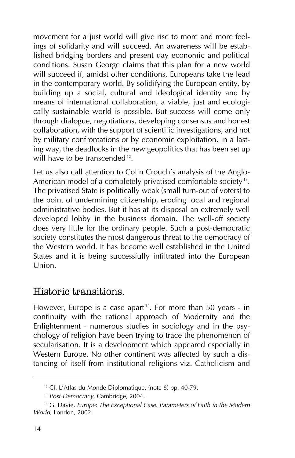movement for a just world will give rise to more and more feelings of solidarity and will succeed. An awareness will be established bridging borders and present day economic and political conditions. Susan George claims that this plan for a new world will succeed if, amidst other conditions, Europeans take the lead in the contemporary world. By solidifying the European entity, by building up a social, cultural and ideological identity and by means of international collaboration, a viable, just and ecologically sustainable world is possible. But success will come only through dialogue, negotiations, developing consensus and honest collaboration, with the support of scientific investigations, and not by military confrontations or by economic exploitation. In a lasting way, the deadlocks in the new geopolitics that has been set up will have to be transcended<sup>12</sup>.

Let us also call attention to Colin Crouch's analysis of the Anglo-American model of a completely privatised comfortable society<sup>13</sup>. The privatised State is politically weak (small turn-out of voters) to the point of undermining citizenship, eroding local and regional administrative bodies. But it has at its disposal an extremely well developed lobby in the business domain. The well-off society does very little for the ordinary people. Such a post-democratic society constitutes the most dangerous threat to the democracy of the Western world. It has become well established in the United States and it is being successfully infiltrated into the European Union.

### Historic transitions.

However, Europe is a case apart<sup>14</sup>. For more than 50 years - in continuity with the rational approach of Modernity and the Enlightenment - numerous studies in sociology and in the psychology of religion have been trying to trace the phenomenon of secularisation. It is a development which appeared especially in Western Europe. No other continent was affected by such a distancing of itself from institutional religions viz. Catholicism and

<sup>&</sup>lt;sup>12</sup> Cf. L'Atlas du Monde Diplomatique, (note 8) pp. 40-79.

<sup>13</sup> *Post-Democracy*, Cambridge, 2004.

<sup>14</sup> G. Davie, *Europe: The Exceptional Case. Parameters of Faith in the Modern World*, London, 2002.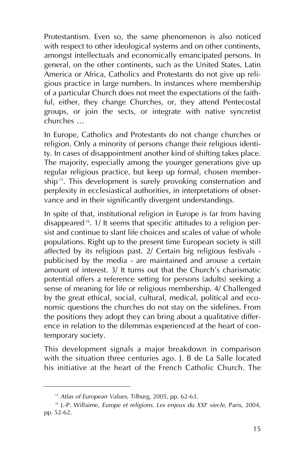Protestantism. Even so, the same phenomenon is also noticed with respect to other ideological systems and on other continents, amongst intellectuals and economically emancipated persons. In general, on the other continents, such as the United States, Latin America or Africa, Catholics and Protestants do not give up religious practice in large numbers. In instances where membership of a particular Church does not meet the expectations of the faithful, either, they change Churches, or, they attend Pentecostal groups, or join the sects, or integrate with native syncretist churches …

In Europe, Catholics and Protestants do not change churches or religion. Only a minority of persons change their religious identity. In cases of disappointment another kind of shifting takes place. The majority, especially among the younger generations give up regular religious practice, but keep up formal, chosen membership<sup>15</sup>. This development is surely provoking consternation and perplexity in ecclesiastical authorities, in interpretations of observance and in their significantly divergent understandings.

In spite of that, institutional religion in Europe is far from having disappeared<sup>16</sup>. 1/ It seems that specific attitudes to a religion persist and continue to slant life choices and scales of value of whole populations. Right up to the present time European society is still affected by its religious past. 2/ Certain big religious festivals publicised by the media - are maintained and arouse a certain amount of interest. 3/ It turns out that the Church's charismatic potential offers a reference setting for persons (adults) seeking a sense of meaning for life or religious membership. 4/ Challenged by the great ethical, social, cultural, medical, political and economic questions the churches do not stay on the sidelines. From the positions they adopt they can bring about a qualitative difference in relation to the dilemmas experienced at the heart of contemporary society.

This development signals a major breakdown in comparison with the situation three centuries ago. J. B de La Salle located his initiative at the heart of the French Catholic Church. The

<sup>15</sup> *Atlas of European Values*, Tilburg, 2005, pp. 62-63.

<sup>16</sup> J.-P. Willaime, *Europe et religions. Les enjeux du XXIe siecle*, Paris, 2004, pp. 52-62.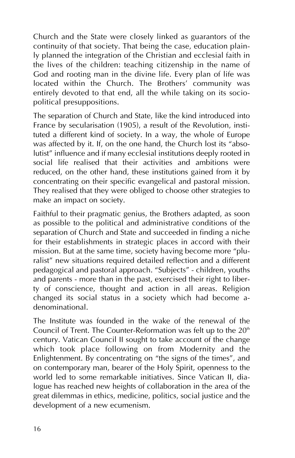Church and the State were closely linked as guarantors of the continuity of that society. That being the case, education plainly planned the integration of the Christian and ecclesial faith in the lives of the children: teaching citizenship in the name of God and rooting man in the divine life. Every plan of life was located within the Church. The Brothers' community was entirely devoted to that end, all the while taking on its sociopolitical presuppositions.

The separation of Church and State, like the kind introduced into France by secularisation (1905), a result of the Revolution, instituted a different kind of society. In a way, the whole of Europe was affected by it. If, on the one hand, the Church lost its "absolutist" influence and if many ecclesial institutions deeply rooted in social life realised that their activities and ambitions were reduced, on the other hand, these institutions gained from it by concentrating on their specific evangelical and pastoral mission. They realised that they were obliged to choose other strategies to make an impact on society.

Faithful to their pragmatic genius, the Brothers adapted, as soon as possible to the political and administrative conditions of the separation of Church and State and succeeded in finding a niche for their establishments in strategic places in accord with their mission. But at the same time, society having become more "pluralist" new situations required detailed reflection and a different pedagogical and pastoral approach. "Subjects" - children, youths and parents - more than in the past, exercised their right to liberty of conscience, thought and action in all areas. Religion changed its social status in a society which had become adenominational.

The Institute was founded in the wake of the renewal of the Council of Trent. The Counter-Reformation was felt up to the 20<sup>th</sup> century. Vatican Council II sought to take account of the change which took place following on from Modernity and the Enlightenment. By concentrating on "the signs of the times", and on contemporary man, bearer of the Holy Spirit, openness to the world led to some remarkable initiatives. Since Vatican II, dialogue has reached new heights of collaboration in the area of the great dilemmas in ethics, medicine, politics, social justice and the development of a new ecumenism.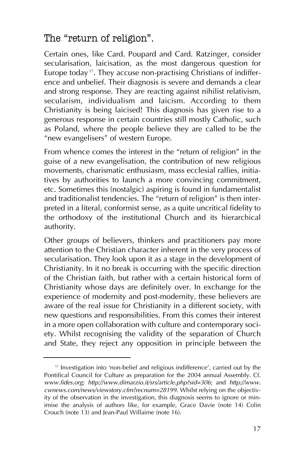# The "return of religion".

Certain ones, like Card. Poupard and Card. Ratzinger, consider secularisation, laicisation, as the most dangerous question for Europe today<sup>17</sup>. They accuse non-practising Christians of indifference and unbelief. Their diagnosis is severe and demands a clear and strong response. They are reacting against nihilist relativism, secularism, individualism and laicism. According to them Christianity is being laicised! This diagnosis has given rise to a generous response in certain countries still mostly Catholic, such as Poland, where the people believe they are called to be the "new evangelisers" of western Europe.

From whence comes the interest in the "return of religion" in the guise of a new evangelisation, the contribution of new religious movements, charismatic enthusiasm, mass ecclesial rallies, initiatives by authorities to launch a more convincing commitment, etc. Sometimes this (nostalgic) aspiring is found in fundamentalist and traditionalist tendencies. The "return of religion" is then interpreted in a literal, conformist sense, as a quite uncritical fidelity to the orthodoxy of the institutional Church and its hierarchical authority.

Other groups of believers, thinkers and practitioners pay more attention to the Christian character inherent in the very process of secularisation. They look upon it as a stage in the development of Christianity. In it no break is occurring with the specific direction of the Christian faith, but rather with a certain historical form of Christianity whose days are definitely over. In exchange for the experience of modernity and post-modernity, these believers are aware of the real issue for Christianity in a different society, with new questions and responsibilities. From this comes their interest in a more open collaboration with culture and contemporary society. Whilst recognising the validity of the separation of Church and State, they reject any opposition in principle between the

<sup>&</sup>lt;sup>17</sup> Investigation into 'non-belief and religious indifference', carried out by the Pontifical Council for Culture as preparation for the 2004 annual Assembly. Cf. *www.fides.org*; *http://www.dimarzio.it/srs/article.php?sid=306*; and *http://www. cwnews.com/news/viewstory.cfm?recnum=28199*. Whilst relying on the objectivity of the observation in the investigation, this diagnosis seems to ignore or minimise the analysis of authors like, for example, Grace Davie (note 14) Colin Crouch (note 13) and Jean-Paul Willaime (note 16).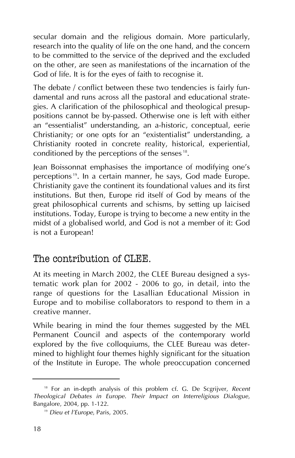secular domain and the religious domain. More particularly, research into the quality of life on the one hand, and the concern to be committed to the service of the deprived and the excluded on the other, are seen as manifestations of the incarnation of the God of life. It is for the eyes of faith to recognise it.

The debate / conflict between these two tendencies is fairly fundamental and runs across all the pastoral and educational strategies. A clarification of the philosophical and theological presuppositions cannot be by-passed. Otherwise one is left with either an "essentialist" understanding, an a-historic, conceptual, eerie Christianity; or one opts for an "existentialist" understanding, a Christianity rooted in concrete reality, historical, experiential, conditioned by the perceptions of the senses<sup>18</sup>.

Jean Boissonnat emphasises the importance of modifying one's perceptions<sup>19</sup>. In a certain manner, he says, God made Europe. Christianity gave the continent its foundational values and its first institutions. But then, Europe rid itself of God by means of the great philosophical currents and schisms, by setting up laicised institutions. Today, Europe is trying to become a new entity in the midst of a globalised world, and God is not a member of it: God is not a European!

### The contribution of CLEE.

At its meeting in March 2002, the CLEE Bureau designed a systematic work plan for 2002 - 2006 to go, in detail, into the range of questions for the Lasallian Educational Mission in Europe and to mobilise collaborators to respond to them in a creative manner.

While bearing in mind the four themes suggested by the MEL Permanent Council and aspects of the contemporary world explored by the five colloquiums, the CLEE Bureau was determined to highlight four themes highly significant for the situation of the Institute in Europe. The whole preoccupation concerned

<sup>18</sup> For an in-depth analysis of this problem cf. G. De Scgrijver, *Recent Theological Debates in Europe. Their Impact on Interreligious Dialogue*, Bangalore, 2004, pp. 1-122.

<sup>19</sup> *Dieu et l'Europe*, Paris, 2005.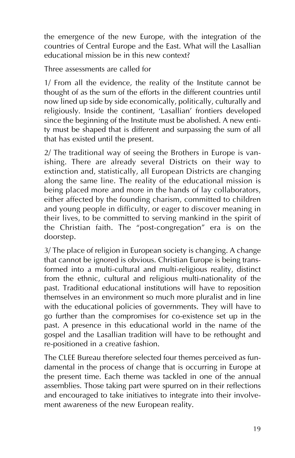the emergence of the new Europe, with the integration of the countries of Central Europe and the East. What will the Lasallian educational mission be in this new context?

Three assessments are called for

1/ From all the evidence, the reality of the Institute cannot be thought of as the sum of the efforts in the different countries until now lined up side by side economically, politically, culturally and religiously. Inside the continent, 'Lasallian' frontiers developed since the beginning of the Institute must be abolished. A new entity must be shaped that is different and surpassing the sum of all that has existed until the present.

2/ The traditional way of seeing the Brothers in Europe is vanishing. There are already several Districts on their way to extinction and, statistically, all European Districts are changing along the same line. The reality of the educational mission is being placed more and more in the hands of lay collaborators, either affected by the founding charism, committed to children and young people in difficulty, or eager to discover meaning in their lives, to be committed to serving mankind in the spirit of the Christian faith. The "post-congregation" era is on the doorstep.

3/ The place of religion in European society is changing. A change that cannot be ignored is obvious. Christian Europe is being transformed into a multi-cultural and multi-religious reality, distinct from the ethnic, cultural and religious multi-nationality of the past. Traditional educational institutions will have to reposition themselves in an environment so much more pluralist and in line with the educational policies of governments. They will have to go further than the compromises for co-existence set up in the past. A presence in this educational world in the name of the gospel and the Lasallian tradition will have to be rethought and re-positioned in a creative fashion.

The CLEE Bureau therefore selected four themes perceived as fundamental in the process of change that is occurring in Europe at the present time. Each theme was tackled in one of the annual assemblies. Those taking part were spurred on in their reflections and encouraged to take initiatives to integrate into their involvement awareness of the new European reality.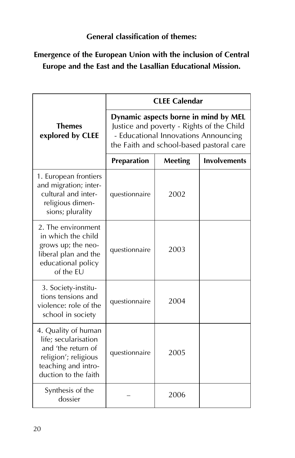#### **General classification of themes:**

### **Emergence of the European Union with the inclusion of Central Europe and the East and the Lasallian Educational Mission.**

|                                                                                                                                          | <b>CLEE Calendar</b>                                                                                                                                                  |                |                     |  |  |
|------------------------------------------------------------------------------------------------------------------------------------------|-----------------------------------------------------------------------------------------------------------------------------------------------------------------------|----------------|---------------------|--|--|
| <b>Themes</b><br>explored by CLEE                                                                                                        | Dynamic aspects borne in mind by MEL<br>Justice and poverty - Rights of the Child<br>- Educational Innovations Announcing<br>the Faith and school-based pastoral care |                |                     |  |  |
|                                                                                                                                          | Preparation                                                                                                                                                           | <b>Meeting</b> | <b>Involvements</b> |  |  |
| 1. European frontiers<br>and migration; inter-<br>cultural and inter-<br>religious dimen-<br>sions; plurality                            | questionnaire                                                                                                                                                         | 2002           |                     |  |  |
| 2. The environment<br>in which the child<br>grows up; the neo-<br>liberal plan and the<br>educational policy<br>of the EU                | questionnaire                                                                                                                                                         | 2003           |                     |  |  |
| 3. Society-institu-<br>tions tensions and<br>violence: role of the<br>school in society                                                  | questionnaire                                                                                                                                                         | 2004           |                     |  |  |
| 4. Quality of human<br>life; secularisation<br>and 'the return of<br>religion'; religious<br>teaching and intro-<br>duction to the faith | questionnaire                                                                                                                                                         | 2005           |                     |  |  |
| Synthesis of the<br>dossier                                                                                                              |                                                                                                                                                                       | 2006           |                     |  |  |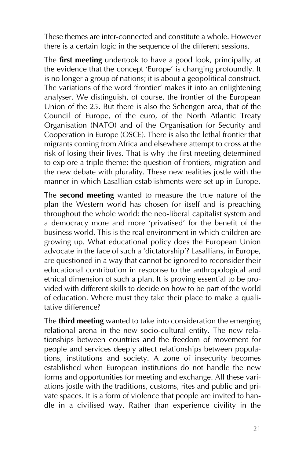These themes are inter-connected and constitute a whole. However there is a certain logic in the sequence of the different sessions.

The **first meeting** undertook to have a good look, principally, at the evidence that the concept 'Europe' is changing profoundly. It is no longer a group of nations; it is about a geopolitical construct. The variations of the word 'frontier' makes it into an enlightening analyser. We distinguish, of course, the frontier of the European Union of the 25. But there is also the Schengen area, that of the Council of Europe, of the euro, of the North Atlantic Treaty Organisation (NATO) and of the Organisation for Security and Cooperation in Europe (OSCE). There is also the lethal frontier that migrants coming from Africa and elsewhere attempt to cross at the risk of losing their lives. That is why the first meeting determined to explore a triple theme: the question of frontiers, migration and the new debate with plurality. These new realities jostle with the manner in which Lasallian establishments were set up in Europe.

The **second meeting** wanted to measure the true nature of the plan the Western world has chosen for itself and is preaching throughout the whole world: the neo-liberal capitalist system and a democracy more and more 'privatised' for the benefit of the business world. This is the real environment in which children are growing up. What educational policy does the European Union advocate in the face of such a 'dictatorship'? Lasallians, in Europe, are questioned in a way that cannot be ignored to reconsider their educational contribution in response to the anthropological and ethical dimension of such a plan. It is proving essential to be provided with different skills to decide on how to be part of the world of education. Where must they take their place to make a qualitative difference?

The **third meeting** wanted to take into consideration the emerging relational arena in the new socio-cultural entity. The new relationships between countries and the freedom of movement for people and services deeply affect relationships between populations, institutions and society. A zone of insecurity becomes established when European institutions do not handle the new forms and opportunities for meeting and exchange. All these variations jostle with the traditions, customs, rites and public and private spaces. It is a form of violence that people are invited to handle in a civilised way. Rather than experience civility in the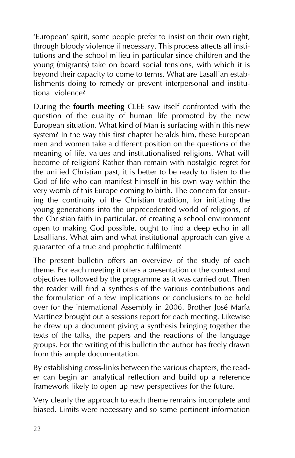'European' spirit, some people prefer to insist on their own right, through bloody violence if necessary. This process affects all institutions and the school milieu in particular since children and the young (migrants) take on board social tensions, with which it is beyond their capacity to come to terms. What are Lasallian establishments doing to remedy or prevent interpersonal and institutional violence?

During the **fourth meeting** CLEE saw itself confronted with the question of the quality of human life promoted by the new European situation. What kind of Man is surfacing within this new system? In the way this first chapter heralds him, these European men and women take a different position on the questions of the meaning of life, values and institutionalised religions. What will become of religion? Rather than remain with nostalgic regret for the unified Christian past, it is better to be ready to listen to the God of life who can manifest himself in his own way within the very womb of this Europe coming to birth. The concern for ensuring the continuity of the Christian tradition, for initiating the young generations into the unprecedented world of religions, of the Christian faith in particular, of creating a school environment open to making God possible, ought to find a deep echo in all Lasallians. What aim and what institutional approach can give a guarantee of a true and prophetic fulfilment?

The present bulletin offers an overview of the study of each theme. For each meeting it offers a presentation of the context and objectives followed by the programme as it was carried out. Then the reader will find a synthesis of the various contributions and the formulation of a few implications or conclusions to be held over for the international Assembly in 2006. Brother José María Martínez brought out a sessions report for each meeting. Likewise he drew up a document giving a synthesis bringing together the texts of the talks, the papers and the reactions of the language groups. For the writing of this bulletin the author has freely drawn from this ample documentation.

By establishing cross-links between the various chapters, the reader can begin an analytical reflection and build up a reference framework likely to open up new perspectives for the future.

Very clearly the approach to each theme remains incomplete and biased. Limits were necessary and so some pertinent information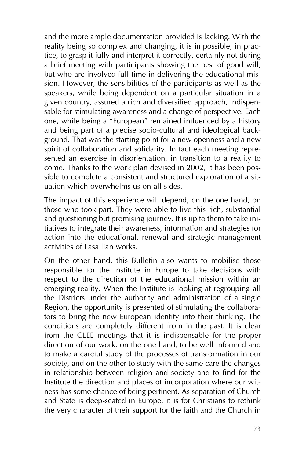and the more ample documentation provided is lacking. With the reality being so complex and changing, it is impossible, in practice, to grasp it fully and interpret it correctly, certainly not during a brief meeting with participants showing the best of good will, but who are involved full-time in delivering the educational mission. However, the sensibilities of the participants as well as the speakers, while being dependent on a particular situation in a given country, assured a rich and diversified approach, indispensable for stimulating awareness and a change of perspective. Each one, while being a "European" remained influenced by a history and being part of a precise socio-cultural and ideological background. That was the starting point for a new openness and a new spirit of collaboration and solidarity. In fact each meeting represented an exercise in disorientation, in transition to a reality to come. Thanks to the work plan devised in 2002, it has been possible to complete a consistent and structured exploration of a situation which overwhelms us on all sides.

The impact of this experience will depend, on the one hand, on those who took part. They were able to live this rich, substantial and questioning but promising journey. It is up to them to take initiatives to integrate their awareness, information and strategies for action into the educational, renewal and strategic management activities of Lasallian works.

On the other hand, this Bulletin also wants to mobilise those responsible for the Institute in Europe to take decisions with respect to the direction of the educational mission within an emerging reality. When the Institute is looking at regrouping all the Districts under the authority and administration of a single Region, the opportunity is presented of stimulating the collaborators to bring the new European identity into their thinking. The conditions are completely different from in the past. It is clear from the CLEE meetings that it is indispensable for the proper direction of our work, on the one hand, to be well informed and to make a careful study of the processes of transformation in our society, and on the other to study with the same care the changes in relationship between religion and society and to find for the Institute the direction and places of incorporation where our witness has some chance of being pertinent. As separation of Church and State is deep-seated in Europe, it is for Christians to rethink the very character of their support for the faith and the Church in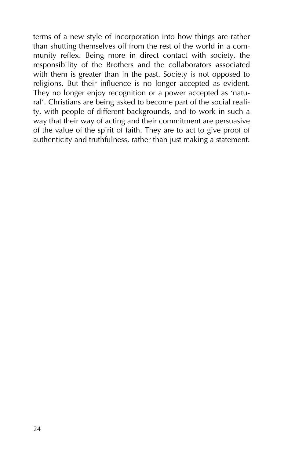terms of a new style of incorporation into how things are rather than shutting themselves off from the rest of the world in a community reflex. Being more in direct contact with society, the responsibility of the Brothers and the collaborators associated with them is greater than in the past. Society is not opposed to religions. But their influence is no longer accepted as evident. They no longer enjoy recognition or a power accepted as 'natural'. Christians are being asked to become part of the social reality, with people of different backgrounds, and to work in such a way that their way of acting and their commitment are persuasive of the value of the spirit of faith. They are to act to give proof of authenticity and truthfulness, rather than just making a statement.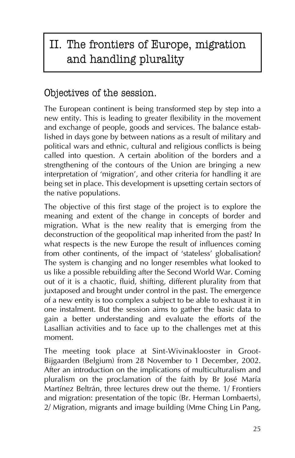# II. The frontiers of Europe, migration and handling plurality

# Objectives of the session.

The European continent is being transformed step by step into a new entity. This is leading to greater flexibility in the movement and exchange of people, goods and services. The balance established in days gone by between nations as a result of military and political wars and ethnic, cultural and religious conflicts is being called into question. A certain abolition of the borders and a strengthening of the contours of the Union are bringing a new interpretation of 'migration', and other criteria for handling it are being set in place. This development is upsetting certain sectors of the native populations.

The objective of this first stage of the project is to explore the meaning and extent of the change in concepts of border and migration. What is the new reality that is emerging from the deconstruction of the geopolitical map inherited from the past? In what respects is the new Europe the result of influences coming from other continents, of the impact of 'stateless' globalisation? The system is changing and no longer resembles what looked to us like a possible rebuilding after the Second World War. Coming out of it is a chaotic, fluid, shifting, different plurality from that juxtaposed and brought under control in the past. The emergence of a new entity is too complex a subject to be able to exhaust it in one instalment. But the session aims to gather the basic data to gain a better understanding and evaluate the efforts of the Lasallian activities and to face up to the challenges met at this moment.

The meeting took place at Sint-Wivinaklooster in Groot-Bijgaarden (Belgium) from 28 November to 1 December, 2002. After an introduction on the implications of multiculturalism and pluralism on the proclamation of the faith by Br José María Martínez Beltrán, three lectures drew out the theme. 1/ Frontiers and migration: presentation of the topic (Br. Herman Lombaerts), 2/ Migration, migrants and image building (Mme Ching Lin Pang,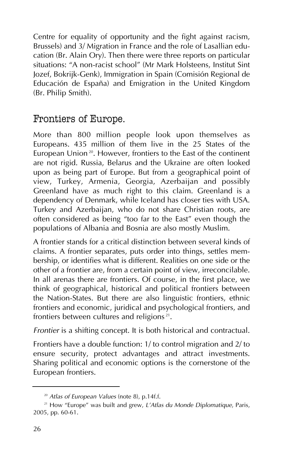Centre for equality of opportunity and the fight against racism, Brussels) and 3/ Migration in France and the role of Lasallian education (Br. Alain Ory). Then there were three reports on particular situations: "A non-racist school" (Mr Mark Holsteens, Institut Sint Jozef, Bokrijk-Genk), Immigration in Spain (Comisión Regional de Educación de España) and Emigration in the United Kingdom (Br. Philip Smith).

### Frontiers of Europe.

More than 800 million people look upon themselves as Europeans. 435 million of them live in the 25 States of the European Union<sup>20</sup>. However, frontiers to the East of the continent are not rigid. Russia, Belarus and the Ukraine are often looked upon as being part of Europe. But from a geographical point of view, Turkey, Armenia, Georgia, Azerbaijan and possibly Greenland have as much right to this claim. Greenland is a dependency of Denmark, while Iceland has closer ties with USA. Turkey and Azerbaijan, who do not share Christian roots, are often considered as being "too far to the East" even though the populations of Albania and Bosnia are also mostly Muslim.

A frontier stands for a critical distinction between several kinds of claims. A frontier separates, puts order into things, settles membership, or identifies what is different. Realities on one side or the other of a frontier are, from a certain point of view, irreconcilable. In all arenas there are frontiers. Of course, in the first place, we think of geographical, historical and political frontiers between the Nation-States. But there are also linguistic frontiers, ethnic frontiers and economic, juridical and psychological frontiers, and frontiers between cultures and religions<sup>21</sup>.

*Frontier* is a shifting concept. It is both historical and contractual.

Frontiers have a double function: 1/ to control migration and 2/ to ensure security, protect advantages and attract investments. Sharing political and economic options is the cornerstone of the European frontiers.

<sup>20</sup> *Atlas of European Values* (note 8), p.14f.f.

<sup>21</sup> How "Europe" was built and grew, *L'Atlas du Monde Diplomatique*, Paris, 2005, pp. 60-61.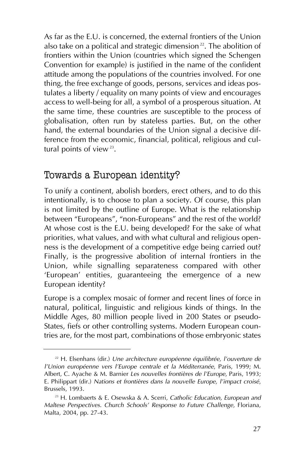As far as the E.U. is concerned, the external frontiers of the Union also take on a political and strategic dimension<sup>22</sup>. The abolition of frontiers within the Union (countries which signed the Schengen Convention for example) is justified in the name of the confident attitude among the populations of the countries involved. For one thing, the free exchange of goods, persons, services and ideas postulates a liberty / equality on many points of view and encourages access to well-being for all, a symbol of a prosperous situation. At the same time, these countries are susceptible to the process of globalisation, often run by stateless parties. But, on the other hand, the external boundaries of the Union signal a decisive difference from the economic, financial, political, religious and cultural points of view $^{23}$ .

### Towards a European identity?

To unify a continent, abolish borders, erect others, and to do this intentionally, is to choose to plan a society. Of course, this plan is not limited by the outline of Europe. What is the relationship between "Europeans", "non-Europeans" and the rest of the world? At whose cost is the E.U. being developed? For the sake of what priorities, what values, and with what cultural and religious openness is the development of a competitive edge being carried out? Finally, is the progressive abolition of internal frontiers in the Union, while signalling separateness compared with other 'European' entities, guaranteeing the emergence of a new European identity?

Europe is a complex mosaic of former and recent lines of force in natural, political, linguistic and religious kinds of things. In the Middle Ages, 80 million people lived in 200 States or pseudo-States, fiefs or other controlling systems. Modern European countries are, for the most part, combinations of those embryonic states

<sup>22</sup> H. Elsenhans (dir.) *Une architecture européenne équilibrée, l'ouverture de l'Union européenne vers l'Europe centrale et la Méditerranée*, Paris, 1999; M. Albert, C. Ayache & M. Barnier *Les nouvelles frontières de l'Europe*, Paris, 1993; E. Philippart (dir.) *Nations et frontières dans la nouvelle Europe, l'impact croisé*, Brussels, 1993.

<sup>23</sup> H. Lombaerts & E. Osewska & A. Scerri, *Catholic Education, European and Maltese Perspectives. Church Schools' Response to Future Challenge*, Floriana, Malta, 2004, pp. 27-43.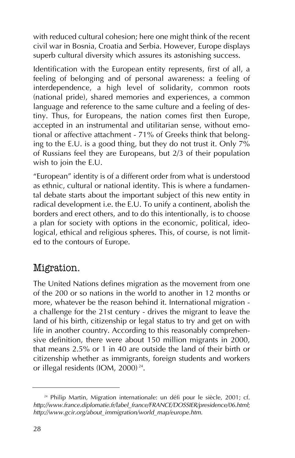with reduced cultural cohesion; here one might think of the recent civil war in Bosnia, Croatia and Serbia. However, Europe displays superb cultural diversity which assures its astonishing success.

Identification with the European entity represents, first of all, a feeling of belonging and of personal awareness: a feeling of interdependence, a high level of solidarity, common roots (national pride), shared memories and experiences, a common language and reference to the same culture and a feeling of destiny. Thus, for Europeans, the nation comes first then Europe, accepted in an instrumental and utilitarian sense, without emotional or affective attachment - 71% of Greeks think that belonging to the E.U. is a good thing, but they do not trust it. Only  $7\%$ of Russians feel they are Europeans, but 2/3 of their population wish to join the E.U.

"European" identity is of a different order from what is understood as ethnic, cultural or national identity. This is where a fundamental debate starts about the important subject of this new entity in radical development i.e. the E.U. To unify a continent, abolish the borders and erect others, and to do this intentionally, is to choose a plan for society with options in the economic, political, ideological, ethical and religious spheres. This, of course, is not limited to the contours of Europe.

### Migration.

The United Nations defines migration as the movement from one of the 200 or so nations in the world to another in 12 months or more, whatever be the reason behind it. International migration a challenge for the 21st century - drives the migrant to leave the land of his birth, citizenship or legal status to try and get on with life in another country. According to this reasonably comprehensive definition, there were about 150 million migrants in 2000, that means 2.5% or 1 in 40 are outside the land of their birth or citizenship whether as immigrants, foreign students and workers or illegal residents (IOM, 2000)<sup>24</sup>.

<sup>&</sup>lt;sup>24</sup> Philip Martin, Migration internationale: un défi pour le siècle, 2001; cf. *http://www.france.diplomatie.fr/label\_france/FRANCE/DOSSIER/presidence/06.html*; *http://www.gcir.org/about\_immigration/world\_map/europe.htm.*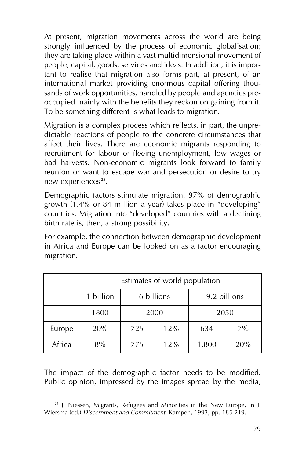At present, migration movements across the world are being strongly influenced by the process of economic globalisation; they are taking place within a vast multidimensional movement of people, capital, goods, services and ideas. In addition, it is important to realise that migration also forms part, at present, of an international market providing enormous capital offering thousands of work opportunities, handled by people and agencies preoccupied mainly with the benefits they reckon on gaining from it. To be something different is what leads to migration.

Migration is a complex process which reflects, in part, the unpredictable reactions of people to the concrete circumstances that affect their lives. There are economic migrants responding to recruitment for labour or fleeing unemployment, low wages or bad harvests. Non-economic migrants look forward to family reunion or want to escape war and persecution or desire to try new experiences<sup>25</sup>.

Demographic factors stimulate migration. 97% of demographic growth (1.4% or 84 million a year) takes place in "developing" countries. Migration into "developed" countries with a declining birth rate is, then, a strong possibility.

For example, the connection between demographic development in Africa and Europe can be looked on as a factor encouraging migration.

|        | Estimates of world population |            |     |              |       |  |  |
|--------|-------------------------------|------------|-----|--------------|-------|--|--|
|        | 1 billion                     | 6 billions |     | 9.2 billions |       |  |  |
|        | 1800                          | 2000       |     | 2050         |       |  |  |
| Europe | 20%                           | 725        | 12% | 634          | $7\%$ |  |  |
| Africa | 8%                            | 775        | 12% | 1.800        | 20%   |  |  |

The impact of the demographic factor needs to be modified. Public opinion, impressed by the images spread by the media,

<sup>&</sup>lt;sup>25</sup> J. Niessen, Migrants, Refugees and Minorities in the New Europe, in J. Wiersma (ed.) *Discernment and Commitment*, Kampen, 1993, pp. 185-219.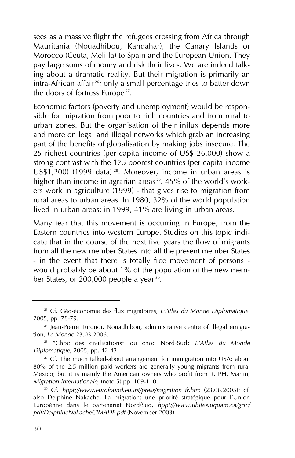sees as a massive flight the refugees crossing from Africa through Mauritania (Nouadhibou, Kandahar), the Canary Islands or Morocco (Ceuta, Melilla) to Spain and the European Union. They pay large sums of money and risk their lives. We are indeed talking about a dramatic reality. But their migration is primarily an intra-African affair 26; only a small percentage tries to batter down the doors of fortress Europe<sup>27</sup>.

Economic factors (poverty and unemployment) would be responsible for migration from poor to rich countries and from rural to urban zones. But the organisation of their influx depends more and more on legal and illegal networks which grab an increasing part of the benefits of globalisation by making jobs insecure. The 25 richest countries (per capita income of US\$ 26,000) show a strong contrast with the 175 poorest countries (per capita income US\$1,200) (1999 data)<sup>28</sup>. Moreover, income in urban areas is higher than income in agrarian areas<sup>29</sup>. 45% of the world's workers work in agriculture (1999) - that gives rise to migration from rural areas to urban areas. In 1980,  $32\%$  of the world population lived in urban areas; in 1999, 41% are living in urban areas.

Many fear that this movement is occurring in Europe, from the Eastern countries into western Europe. Studies on this topic indicate that in the course of the next five years the flow of migrants from all the new member States into all the present member States - in the event that there is totally free movement of persons would probably be about 1% of the population of the new member States, or 200,000 people a year<sup>30</sup>.

<sup>26</sup> Cf. Géo-économie des flux migratoires, *L'Atlas du Monde Diplomatique*, 2005, pp. 78-79.

<sup>&</sup>lt;sup>27</sup> Jean-Pierre Turquoi, Nouadhibou, administrative centre of illegal emigration, *Le Monde* 23.03.2006.

<sup>28</sup> "Choc des civilisations" ou choc Nord-Sud? *L'Atlas du Monde Diplomatique*, 2005, pp. 42-43.

<sup>&</sup>lt;sup>29</sup> Cf. The much talked-about arrangement for immigration into USA: about 80% of the 2.5 million paid workers are generally young migrants from rural Mexico; but it is mainly the American owners who profit from it. PH. Martin, *Migration internationale*, (note 5) pp. 109-110.

<sup>&</sup>lt;sup>30</sup> Cf. *hppt://www.eurofound.eu.int/press/migration fr.htm* (23.06.2005); cf. also Delphine Nakache, La migration: une priorité stratégique pour l'Union Europénne dans le partenariat Nord/Sud, *hppt://www.ubites.uquam.ca/gric/ pdf/DelphineNakacheCIMADE.pdf* (November 2003).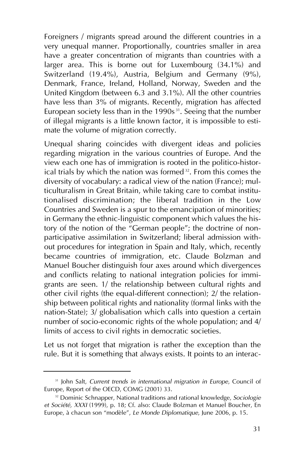Foreigners / migrants spread around the different countries in a very unequal manner. Proportionally, countries smaller in area have a greater concentration of migrants than countries with a larger area. This is borne out for Luxembourg (34.1%) and Switzerland (19.4%), Austria, Belgium and Germany (9%), Denmark, France, Ireland, Holland, Norway, Sweden and the United Kingdom (between 6.3 and 3.1%). All the other countries have less than 3% of migrants. Recently, migration has affected European society less than in the 1990s<sup>31</sup>. Seeing that the number of illegal migrants is a little known factor, it is impossible to estimate the volume of migration correctly.

Unequal sharing coincides with divergent ideas and policies regarding migration in the various countries of Europe. And the view each one has of immigration is rooted in the politico-historical trials by which the nation was formed<sup>32</sup>. From this comes the diversity of vocabulary: a radical view of the nation (France); multiculturalism in Great Britain, while taking care to combat institutionalised discrimination; the liberal tradition in the Low Countries and Sweden is a spur to the emancipation of minorities; in Germany the ethnic-linguistic component which values the history of the notion of the "German people"; the doctrine of nonparticipative assimilation in Switzerland; liberal admission without procedures for integration in Spain and Italy, which, recently became countries of immigration, etc. Claude Bolzman and Manuel Boucher distinguish four axes around which divergences and conflicts relating to national integration policies for immigrants are seen. 1/ the relationship between cultural rights and other civil rights (the equal-different connection); 2/ the relationship between political rights and nationality (formal links with the nation-State); 3/ globalisation which calls into question a certain number of socio-economic rights of the whole population; and 4/ limits of access to civil rights in democratic societies.

Let us not forget that migration is rather the exception than the rule. But it is something that always exists. It points to an interac-

<sup>&</sup>lt;sup>31</sup> John Salt, *Current trends in international migration in Europe*, Council of Europe, Report of the OECD, COMG (2001) 33.

<sup>32</sup> Dominic Schnapper, National traditions and rational knowledge, *Sociologie et Société, XXXI* (1999), p. 18; Cf. also: Claude Bolzman et Manuel Boucher, En Europe, à chacun son "modèle", *Le Monde Diplomatique*, June 2006, p. 15.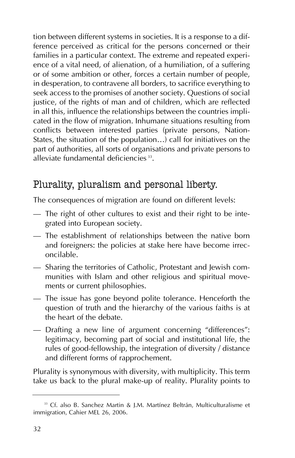tion between different systems in societies. It is a response to a difference perceived as critical for the persons concerned or their families in a particular context. The extreme and repeated experience of a vital need, of alienation, of a humiliation, of a suffering or of some ambition or other, forces a certain number of people, in desperation, to contravene all borders, to sacrifice everything to seek access to the promises of another society. Questions of social justice, of the rights of man and of children, which are reflected in all this, influence the relationships between the countries implicated in the flow of migration. Inhumane situations resulting from conflicts between interested parties (private persons, Nation-States, the situation of the population…) call for initiatives on the part of authorities, all sorts of organisations and private persons to alleviate fundamental deficiencies 33.

### Plurality, pluralism and personal liberty.

The consequences of migration are found on different levels:

- The right of other cultures to exist and their right to be integrated into European society.
- The establishment of relationships between the native born and foreigners: the policies at stake here have become irreconcilable.
- Sharing the territories of Catholic, Protestant and Jewish communities with Islam and other religious and spiritual movements or current philosophies.
- The issue has gone beyond polite tolerance. Henceforth the question of truth and the hierarchy of the various faiths is at the heart of the debate.
- Drafting a new line of argument concerning "differences": legitimacy, becoming part of social and institutional life, the rules of good-fellowship, the integration of diversity / distance and different forms of rapprochement.

Plurality is synonymous with diversity, with multiplicity. This term take us back to the plural make-up of reality. Plurality points to

<sup>&</sup>lt;sup>33</sup> Cf. also B. Sanchez Martin & J.M. Martínez Beltrán, Multiculturalisme et immigration, Cahier MEL 26, 2006.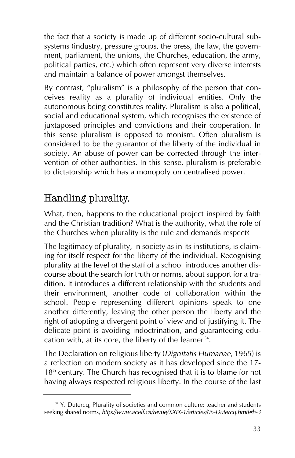the fact that a society is made up of different socio-cultural subsystems (industry, pressure groups, the press, the law, the government, parliament, the unions, the Churches, education, the army, political parties, etc.) which often represent very diverse interests and maintain a balance of power amongst themselves.

By contrast, "pluralism" is a philosophy of the person that conceives reality as a plurality of individual entities. Only the autonomous being constitutes reality. Pluralism is also a political, social and educational system, which recognises the existence of juxtaposed principles and convictions and their cooperation. In this sense pluralism is opposed to monism. Often pluralism is considered to be the guarantor of the liberty of the individual in society. An abuse of power can be corrected through the intervention of other authorities. In this sense, pluralism is preferable to dictatorship which has a monopoly on centralised power.

# Handling plurality.

What, then, happens to the educational project inspired by faith and the Christian tradition? What is the authority, what the role of the Churches when plurality is the rule and demands respect?

The legitimacy of plurality, in society as in its institutions, is claiming for itself respect for the liberty of the individual. Recognising plurality at the level of the staff of a school introduces another discourse about the search for truth or norms, about support for a tradition. It introduces a different relationship with the students and their environment, another code of collaboration within the school. People representing different opinions speak to one another differently, leaving the other person the liberty and the right of adopting a divergent point of view and of justifying it. The delicate point is avoiding indoctrination, and guaranteeing education with, at its core, the liberty of the learner 34.

The Declaration on religious liberty (*Dignitatis Humanae*, 1965) is a reflection on modern society as it has developed since the 17-  $18<sup>th</sup>$  century. The Church has recognised that it is to blame for not having always respected religious liberty. In the course of the last

<sup>&</sup>lt;sup>34</sup> Y. Dutercq, Plurality of societies and common culture: teacher and students seeking shared norms, *http://www.acelf.ca/revue/XXIX-1/articles/06-Dutercq.hmtl#h-3*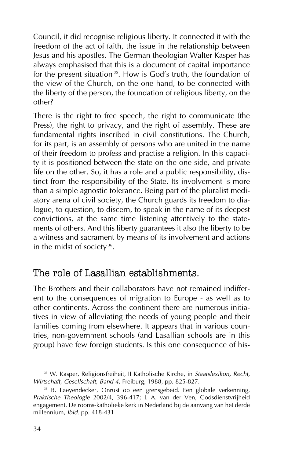Council, it did recognise religious liberty. It connected it with the freedom of the act of faith, the issue in the relationship between Jesus and his apostles. The German theologian Walter Kasper has always emphasised that this is a document of capital importance for the present situation<sup>35</sup>. How is God's truth, the foundation of the view of the Church, on the one hand, to be connected with the liberty of the person, the foundation of religious liberty, on the other?

There is the right to free speech, the right to communicate (the Press), the right to privacy, and the right of assembly. These are fundamental rights inscribed in civil constitutions. The Church, for its part, is an assembly of persons who are united in the name of their freedom to profess and practise a religion. In this capacity it is positioned between the state on the one side, and private life on the other. So, it has a role and a public responsibility, distinct from the responsibility of the State. Its involvement is more than a simple agnostic tolerance. Being part of the pluralist mediatory arena of civil society, the Church guards its freedom to dialogue, to question, to discern, to speak in the name of its deepest convictions, at the same time listening attentively to the statements of others. And this liberty guarantees it also the liberty to be a witness and sacrament by means of its involvement and actions in the midst of society  $36$ .

### The role of Lasallian establishments.

The Brothers and their collaborators have not remained indifferent to the consequences of migration to Europe - as well as to other continents. Across the continent there are numerous initiatives in view of alleviating the needs of young people and their families coming from elsewhere. It appears that in various countries, non-government schools (and Lasallian schools are in this group) have few foreign students. Is this one consequence of his-

<sup>35</sup> W. Kasper, Religionsfreiheit, II Katholische Kirche, in *Staatslexikon, Recht, Wirtschaft, Gesellschaft, Band 4*, Freiburg, 1988, pp. 825-827.

<sup>&</sup>lt;sup>36</sup> B. Laeyendecker, Onrust op een grensgebeid. Een globale verkenning, *Praktische Theologie* 2002/4, 396-417; J. A. van der Ven, Godsdienstvrijheid engagement. De rooms-katholieke kerk in Nederland bij de aanvang van het derde millennium, *Ibid*. pp. 418-431.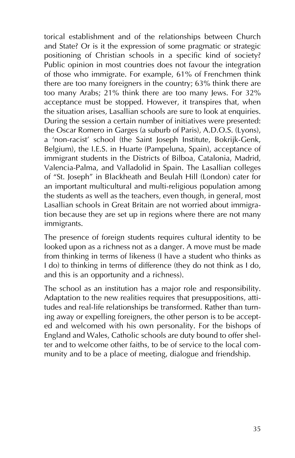torical establishment and of the relationships between Church and State? Or is it the expression of some pragmatic or strategic positioning of Christian schools in a specific kind of society? Public opinion in most countries does not favour the integration of those who immigrate. For example, 61% of Frenchmen think there are too many foreigners in the country; 63% think there are too many Arabs; 21% think there are too many Jews. For 32% acceptance must be stopped. However, it transpires that, when the situation arises, Lasallian schools are sure to look at enquiries. During the session a certain number of initiatives were presented: the Oscar Romero in Garges (a suburb of Paris), A.D.O.S. (Lyons), a 'non-racist' school (the Saint Joseph Institute, Bokrijk-Genk, Belgium), the I.E.S. in Huarte (Pampeluna, Spain), acceptance of immigrant students in the Districts of Bilboa, Catalonia, Madrid, Valencia-Palma, and Valladolid in Spain. The Lasallian colleges of "St. Joseph" in Blackheath and Beulah Hill (London) cater for an important multicultural and multi-religious population among the students as well as the teachers, even though, in general, most Lasallian schools in Great Britain are not worried about immigration because they are set up in regions where there are not many immigrants.

The presence of foreign students requires cultural identity to be looked upon as a richness not as a danger. A move must be made from thinking in terms of likeness (I have a student who thinks as I do) to thinking in terms of difference (they do not think as I do, and this is an opportunity and a richness).

The school as an institution has a major role and responsibility. Adaptation to the new realities requires that presuppositions, attitudes and real-life relationships be transformed. Rather than turning away or expelling foreigners, the other person is to be accepted and welcomed with his own personality. For the bishops of England and Wales, Catholic schools are duty bound to offer shelter and to welcome other faiths, to be of service to the local community and to be a place of meeting, dialogue and friendship.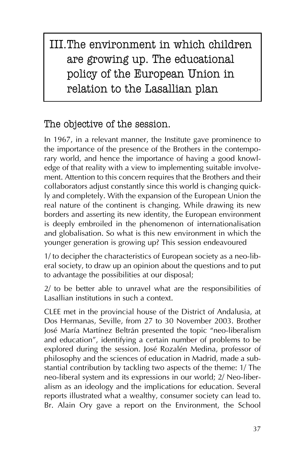III.The environment in which children are growing up. The educational policy of the European Union in relation to the Lasallian plan

The objective of the session.

In 1967, in a relevant manner, the Institute gave prominence to the importance of the presence of the Brothers in the contemporary world, and hence the importance of having a good knowledge of that reality with a view to implementing suitable involvement. Attention to this concern requires that the Brothers and their collaborators adjust constantly since this world is changing quickly and completely. With the expansion of the European Union the real nature of the continent is changing. While drawing its new borders and asserting its new identity, the European environment is deeply embroiled in the phenomenon of internationalisation and globalisation. So what is this new environment in which the younger generation is growing up? This session endeavoured

1/ to decipher the characteristics of European society as a neo-liberal society, to draw up an opinion about the questions and to put to advantage the possibilities at our disposal;

2/ to be better able to unravel what are the responsibilities of Lasallian institutions in such a context.

CLEE met in the provincial house of the District of Andalusia, at Dos Hermanas, Seville, from 27 to 30 November 2003. Brother José María Martínez Beltrán presented the topic "neo-liberalism and education", identifying a certain number of problems to be explored during the session. José Rozalén Medina, professor of philosophy and the sciences of education in Madrid, made a substantial contribution by tackling two aspects of the theme: 1/ The neo-liberal system and its expressions in our world; 2/ Neo-liberalism as an ideology and the implications for education. Several reports illustrated what a wealthy, consumer society can lead to. Br. Alain Ory gave a report on the Environment, the School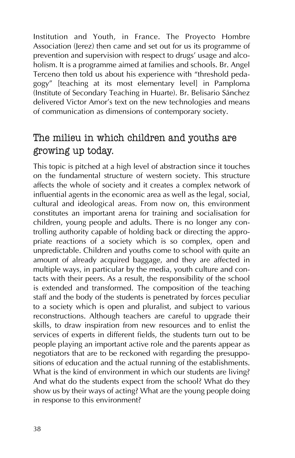Institution and Youth, in France. The Proyecto Hombre Association (Jerez) then came and set out for us its programme of prevention and supervision with respect to drugs' usage and alcoholism. It is a programme aimed at families and schools. Br. Angel Terceno then told us about his experience with "threshold pedagogy" [teaching at its most elementary level] in Pamploma (Institute of Secondary Teaching in Huarte). Br. Belisario Sánchez delivered Victor Amor's text on the new technologies and means of communication as dimensions of contemporary society.

# The milieu in which children and youths are growing up today.

This topic is pitched at a high level of abstraction since it touches on the fundamental structure of western society. This structure affects the whole of society and it creates a complex network of influential agents in the economic area as well as the legal, social, cultural and ideological areas. From now on, this environment constitutes an important arena for training and socialisation for children, young people and adults. There is no longer any controlling authority capable of holding back or directing the appropriate reactions of a society which is so complex, open and unpredictable. Children and youths come to school with quite an amount of already acquired baggage, and they are affected in multiple ways, in particular by the media, youth culture and contacts with their peers. As a result, the responsibility of the school is extended and transformed. The composition of the teaching staff and the body of the students is penetrated by forces peculiar to a society which is open and pluralist, and subject to various reconstructions. Although teachers are careful to upgrade their skills, to draw inspiration from new resources and to enlist the services of experts in different fields, the students turn out to be people playing an important active role and the parents appear as negotiators that are to be reckoned with regarding the presuppositions of education and the actual running of the establishments. What is the kind of environment in which our students are living? And what do the students expect from the school? What do they show us by their ways of acting? What are the young people doing in response to this environment?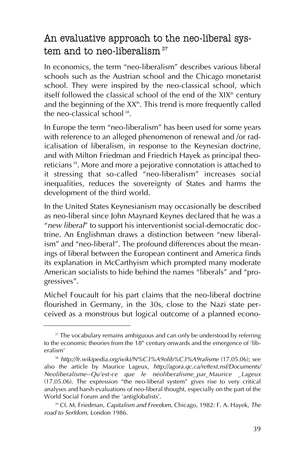# An evaluative approach to the neo-liberal system and to neo-liberalism  $37$

In economics, the term "neo-liberalism" describes various liberal schools such as the Austrian school and the Chicago monetarist school. They were inspired by the neo-classical school, which itself followed the classical school of the end of the  $XIX<sup>th</sup>$  century and the beginning of the  $XX<sup>th</sup>$ . This trend is more frequently called the neo-classical school 38.

In Europe the term "neo-liberalism" has been used for some years with reference to an alleged phenomenon of renewal and /or radicalisation of liberalism, in response to the Keynesian doctrine, and with Milton Friedman and Friedrich Hayek as principal theoreticians 39. More and more a pejorative connotation is attached to it stressing that so-called "neo-liberalism" increases social inequalities, reduces the sovereignty of States and harms the development of the third world.

In the United States Keynesianism may occasionally be described as neo-liberal since John Maynard Keynes declared that he was a "*new liberal*" to support his interventionist social-democratic doctrine. An Englishman draws a distinction between "new liberalism" and "neo-liberal". The profound differences about the meanings of liberal between the European continent and America finds its explanation in McCarthyism which prompted many moderate American socialists to hide behind the names "liberals" and "progressives".

Michel Foucault for his part claims that the neo-liberal doctrine flourished in Germany, in the 30s, close to the Nazi state perceived as a monstrous but logical outcome of a planned econo-

<sup>&</sup>lt;sup>37</sup> The vocabulary remains ambiguous and can only be understood by referring to the economic theories from the  $18<sup>th</sup>$  century onwards and the emergence of 'liberalism'

<sup>38</sup> *http://fr.wikipedia.org/wiki/N%C3%A9olib%C3%A9ralisme* (17.05.06); see also the article by Maurice Lageux, *http://agora.qc.ca/reftext.nsf/Documents/ Neoliberalisme--Qu'est-ce que le néoliberalisme\_par\_Maurice \_Lageux* (17.05.06). The expression "the neo-liberal system" gives rise to very critical analyses and harsh evaluations of neo-liberal thought, especially on the part of the World Social Forum and the 'antiglobalists'.

<sup>39</sup> Cf. M. Friedman, *Capitalism and Freedom*, Chicago, 1982: F. A. Hayek, *The road to Serfdom*, London 1986.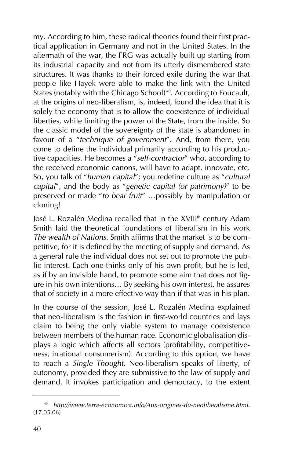my. According to him, these radical theories found their first practical application in Germany and not in the United States. In the aftermath of the war, the FRG was actually built up starting from its industrial capacity and not from its utterly dismembered state structures. It was thanks to their forced exile during the war that people like Hayek were able to make the link with the United States (notably with the Chicago School)<sup>40</sup>. According to Foucault, at the origins of neo-liberalism, is, indeed, found the idea that it is solely the economy that is to allow the coexistence of individual liberties, while limiting the power of the State, from the inside. So the classic model of the sovereignty of the state is abandoned in favour of a "*technique of government*". And, from there, you come to define the individual primarily according to his productive capacities. He becomes a "*self-contractor*" who, according to the received economic canons, will have to adapt, innovate, etc. So, you talk of "*human capital*"; you redefine culture as "*cultural capital*", and the body as "*genetic capital (or patrimony)*" to be preserved or made "*to bear fruit*" …possibly by manipulation or cloning!

José L. Rozalén Medina recalled that in the XVIII<sup>th</sup> century Adam Smith laid the theoretical foundations of liberalism in his work *The wealth of Nations*. Smith affirms that the market is to be competitive, for it is defined by the meeting of supply and demand. As a general rule the individual does not set out to promote the public interest. Each one thinks only of his own profit, but he is led, as if by an invisible hand, to promote some aim that does not figure in his own intentions… By seeking his own interest, he assures that of society in a more effective way than if that was in his plan.

In the course of the session, José L. Rozalén Medina explained that neo-liberalism is the fashion in first-world countries and lays claim to being the only viable system to manage coexistence between members of the human race. Economic globalisation displays a logic which affects all sectors (profitability, competitiveness, irrational consumerism). According to this option, we have to reach a *Single Thought*. Neo-liberalism speaks of liberty, of autonomy, provided they are submissive to the law of supply and demand. It invokes participation and democracy, to the extent

<sup>40</sup> *http://www.terra-economica.info/Aux-origines-du-neoliberalisme.html*. (17.05.06)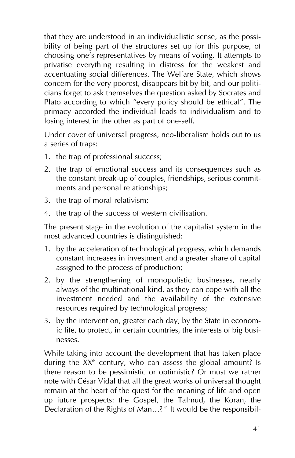that they are understood in an individualistic sense, as the possibility of being part of the structures set up for this purpose, of choosing one's representatives by means of voting. It attempts to privatise everything resulting in distress for the weakest and accentuating social differences. The Welfare State, which shows concern for the very poorest, disappears bit by bit, and our politicians forget to ask themselves the question asked by Socrates and Plato according to which "every policy should be ethical". The primacy accorded the individual leads to individualism and to losing interest in the other as part of one-self.

Under cover of universal progress, neo-liberalism holds out to us a series of traps:

- 1. the trap of professional success;
- 2. the trap of emotional success and its consequences such as the constant break-up of couples, friendships, serious commitments and personal relationships;
- 3. the trap of moral relativism;
- 4. the trap of the success of western civilisation.

The present stage in the evolution of the capitalist system in the most advanced countries is distinguished:

- 1. by the acceleration of technological progress, which demands constant increases in investment and a greater share of capital assigned to the process of production;
- 2. by the strengthening of monopolistic businesses, nearly always of the multinational kind, as they can cope with all the investment needed and the availability of the extensive resources required by technological progress;
- 3. by the intervention, greater each day, by the State in economic life, to protect, in certain countries, the interests of big businesses.

While taking into account the development that has taken place during the XX<sup>th</sup> century, who can assess the global amount? Is there reason to be pessimistic or optimistic? Or must we rather note with César Vidal that all the great works of universal thought remain at the heart of the quest for the meaning of life and open up future prospects: the Gospel, the Talmud, the Koran, the Declaration of the Rights of Man...?<sup>41</sup> It would be the responsibil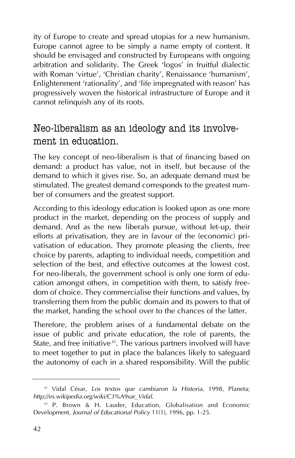ity of Europe to create and spread utopias for a new humanism. Europe cannot agree to be simply a name empty of content. It should be envisaged and constructed by Europeans with ongoing arbitration and solidarity. The Greek 'logos' in fruitful dialectic with Roman 'virtue', 'Christian charity', Renaissance 'humanism', Enlightenment 'rationality', and 'life impregnated with reason' has progressively woven the historical infrastructure of Europe and it cannot relinquish any of its roots.

## Neo-liberalism as an ideology and its involvement in education.

The key concept of neo-liberalism is that of financing based on demand: a product has value, not in itself, but because of the demand to which it gives rise. So, an adequate demand must be stimulated. The greatest demand corresponds to the greatest number of consumers and the greatest support.

According to this ideology education is looked upon as one more product in the market, depending on the process of supply and demand. And as the new liberals pursue, without let-up, their efforts at privatisation, they are in favour of the (economic) privatisation of education. They promote pleasing the clients, free choice by parents, adapting to individual needs, competition and selection of the best, and effective outcomes at the lowest cost. For neo-liberals, the government school is only one form of education amongst others, in competition with them, to satisfy freedom of choice. They commercialise their functions and values, by transferring them from the public domain and its powers to that of the market, handing the school over to the chances of the latter.

Therefore, the problem arises of a fundamental debate on the issue of public and private education, the role of parents, the State, and free initiative<sup>42</sup>. The various partners involved will have to meet together to put in place the balances likely to safeguard the autonomy of each in a shared responsibility. Will the public

<sup>41</sup> Vidal César, *Los textos que cambiaron la Historia*, 1998, Planeta; *http://es.wikipedia.org/wiki/C3%A9sar\_Vidal*.

<sup>42</sup> P. Brown & H. Lauder, Education, Globalisation and Economic Development, *Journal of Educational Policy* 11(1), 1996, pp. 1-25.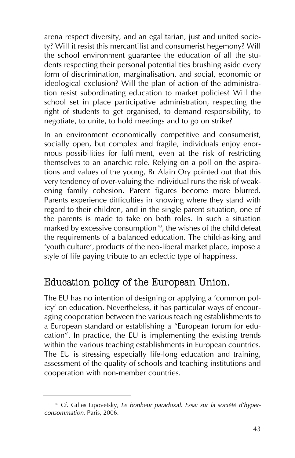arena respect diversity, and an egalitarian, just and united society? Will it resist this mercantilist and consumerist hegemony? Will the school environment guarantee the education of all the students respecting their personal potentialities brushing aside every form of discrimination, marginalisation, and social, economic or ideological exclusion? Will the plan of action of the administration resist subordinating education to market policies? Will the school set in place participative administration, respecting the right of students to get organised, to demand responsibility, to negotiate, to unite, to hold meetings and to go on strike?

In an environment economically competitive and consumerist, socially open, but complex and fragile, individuals enjoy enormous possibilities for fulfilment, even at the risk of restricting themselves to an anarchic role. Relying on a poll on the aspirations and values of the young, Br Alain Ory pointed out that this very tendency of over-valuing the individual runs the risk of weakening family cohesion. Parent figures become more blurred. Parents experience difficulties in knowing where they stand with regard to their children, and in the single parent situation, one of the parents is made to take on both roles. In such a situation marked by excessive consumption<sup>43</sup>, the wishes of the child defeat the requirements of a balanced education. The child-as-king and 'youth culture', products of the neo-liberal market place, impose a style of life paying tribute to an eclectic type of happiness.

### Education policy of the European Union.

The EU has no intention of designing or applying a 'common policy' on education. Nevertheless, it has particular ways of encouraging cooperation between the various teaching establishments to a European standard or establishing a "European forum for education". In practice, the EU is implementing the existing trends within the various teaching establishments in European countries. The EU is stressing especially life-long education and training, assessment of the quality of schools and teaching institutions and cooperation with non-member countries.

<sup>43</sup> Cf. Gilles Lipovetsky, *Le bonheur paradoxal. Essai sur la société d'hyperconsommation*, Paris, 2006.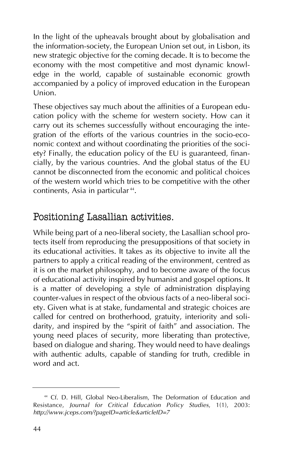In the light of the upheavals brought about by globalisation and the information-society, the European Union set out, in Lisbon, its new strategic objective for the coming decade. It is to become the economy with the most competitive and most dynamic knowledge in the world, capable of sustainable economic growth accompanied by a policy of improved education in the European Union.

These objectives say much about the affinities of a European education policy with the scheme for western society. How can it carry out its schemes successfully without encouraging the integration of the efforts of the various countries in the socio-economic context and without coordinating the priorities of the society? Finally, the education policy of the EU is guaranteed, financially, by the various countries. And the global status of the EU cannot be disconnected from the economic and political choices of the western world which tries to be competitive with the other continents, Asia in particular 44.

### Positioning Lasallian activities.

While being part of a neo-liberal society, the Lasallian school protects itself from reproducing the presuppositions of that society in its educational activities. It takes as its objective to invite all the partners to apply a critical reading of the environment, centred as it is on the market philosophy, and to become aware of the focus of educational activity inspired by humanist and gospel options. It is a matter of developing a style of administration displaying counter-values in respect of the obvious facts of a neo-liberal society. Given what is at stake, fundamental and strategic choices are called for centred on brotherhood, gratuity, interiority and solidarity, and inspired by the "spirit of faith" and association. The young need places of security, more liberating than protective, based on dialogue and sharing. They would need to have dealings with authentic adults, capable of standing for truth, credible in word and act.

<sup>44</sup> Cf. D. Hill, Global Neo-Liberalism, The Deformation of Education and Resistance, *Journal for Critical Education Policy Studies*, 1(1), 2003: *http://www.jceps.com/?pageID=article&articleID=7*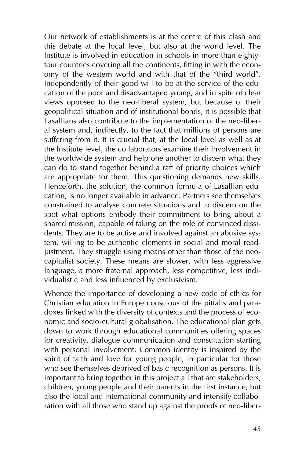Our network of establishments is at the centre of this clash and this debate at the local level, but also at the world level. The Institute is involved in education in schools in more than eightyfour countries covering all the continents, fitting in with the economy of the western world and with that of the "third world". Independently of their good will to be at the service of the education of the poor and disadvantaged young, and in spite of clear views opposed to the neo-liberal system, but because of their geopolitical situation and of institutional bonds, it is possible that Lasallians also contribute to the implementation of the neo-liberal system and, indirectly, to the fact that millions of persons are suffering from it. It is crucial that, at the local level as well as at the Institute level, the collaborators examine their involvement in the worldwide system and help one another to discern what they can do to stand together behind a raft of priority choices which are appropriate for them. This questioning demands new skills. Henceforth, the solution, the common formula of Lasallian education, is no longer available in advance. Partners see themselves constrained to analyse concrete situations and to discern on the spot what options embody their commitment to bring about a shared mission, capable of taking on the role of convinced dissidents. They are to be active and involved against an abusive system, willing to be authentic elements in social and moral readjustment. They struggle using means other than those of the neocapitalist society. These means are slower, with less aggressive language, a more fraternal approach, less competitive, less individualistic and less influenced by exclusivism.

Whence the importance of developing a new code of ethics for Christian education in Europe conscious of the pitfalls and paradoxes linked with the diversity of contexts and the process of economic and socio-cultural globalisation. The educational plan gets down to work through educational communities offering spaces for creativity, dialogue communication and consultation starting with personal involvement. Common identity is inspired by the spirit of faith and love for young people, in particular for those who see themselves deprived of basic recognition as persons. It is important to bring together in this project all that are stakeholders, children, young people and their parents in the first instance, but also the local and international community and intensify collaboration with all those who stand up against the proofs of neo-liber-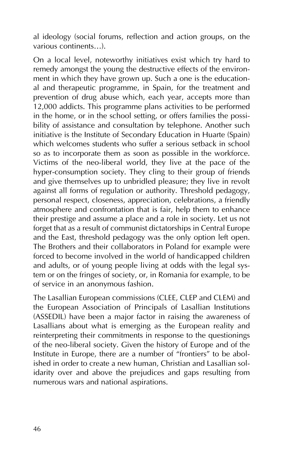al ideology (social forums, reflection and action groups, on the various continents…).

On a local level, noteworthy initiatives exist which try hard to remedy amongst the young the destructive effects of the environment in which they have grown up. Such a one is the educational and therapeutic programme, in Spain, for the treatment and prevention of drug abuse which, each year, accepts more than 12,000 addicts. This programme plans activities to be performed in the home, or in the school setting, or offers families the possibility of assistance and consultation by telephone. Another such initiative is the Institute of Secondary Education in Huarte (Spain) which welcomes students who suffer a serious setback in school so as to incorporate them as soon as possible in the workforce. Victims of the neo-liberal world, they live at the pace of the hyper-consumption society. They cling to their group of friends and give themselves up to unbridled pleasure; they live in revolt against all forms of regulation or authority. Threshold pedagogy, personal respect, closeness, appreciation, celebrations, a friendly atmosphere and confrontation that is fair, help them to enhance their prestige and assume a place and a role in society. Let us not forget that as a result of communist dictatorships in Central Europe and the East, threshold pedagogy was the only option left open. The Brothers and their collaborators in Poland for example were forced to become involved in the world of handicapped children and adults, or of young people living at odds with the legal system or on the fringes of society, or, in Romania for example, to be of service in an anonymous fashion.

The Lasallian European commissions (CLEE, CLEP and CLEM) and the European Association of Principals of Lasallian Institutions (ASSEDIL) have been a major factor in raising the awareness of Lasallians about what is emerging as the European reality and reinterpreting their commitments in response to the questionings of the neo-liberal society. Given the history of Europe and of the Institute in Europe, there are a number of "frontiers" to be abolished in order to create a new human, Christian and Lasallian solidarity over and above the prejudices and gaps resulting from numerous wars and national aspirations.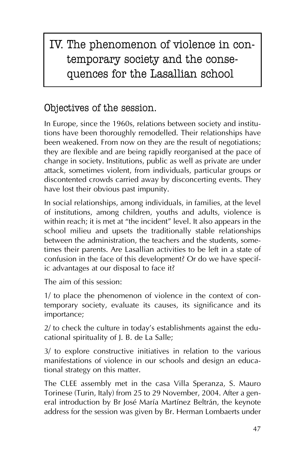# IV. The phenomenon of violence in contemporary society and the consequences for the Lasallian school

### Objectives of the session.

In Europe, since the 1960s, relations between society and institutions have been thoroughly remodelled. Their relationships have been weakened. From now on they are the result of negotiations; they are flexible and are being rapidly reorganised at the pace of change in society. Institutions, public as well as private are under attack, sometimes violent, from individuals, particular groups or discontented crowds carried away by disconcerting events. They have lost their obvious past impunity.

In social relationships, among individuals, in families, at the level of institutions, among children, youths and adults, violence is within reach; it is met at "the incident" level. It also appears in the school milieu and upsets the traditionally stable relationships between the administration, the teachers and the students, sometimes their parents. Are Lasallian activities to be left in a state of confusion in the face of this development? Or do we have specific advantages at our disposal to face it?

The aim of this session:

1/ to place the phenomenon of violence in the context of contemporary society, evaluate its causes, its significance and its importance;

2/ to check the culture in today's establishments against the educational spirituality of J. B. de La Salle;

3/ to explore constructive initiatives in relation to the various manifestations of violence in our schools and design an educational strategy on this matter.

The CLEE assembly met in the casa Villa Speranza, S. Mauro Torinese (Turin, Italy) from 25 to 29 November, 2004. After a general introduction by Br José María Martínez Beltrán, the keynote address for the session was given by Br. Herman Lombaerts under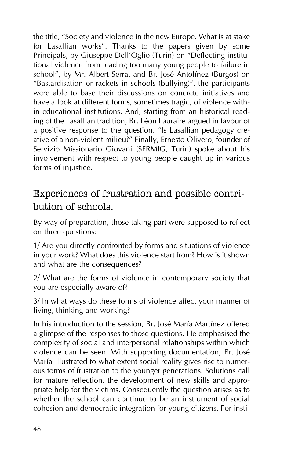the title, "Society and violence in the new Europe. What is at stake for Lasallian works". Thanks to the papers given by some Principals, by Giuseppe Dell'Oglio (Turin) on "Deflecting institutional violence from leading too many young people to failure in school", by Mr. Albert Serrat and Br. José Antolínez (Burgos) on "Bastardisation or rackets in schools (bullying)", the participants were able to base their discussions on concrete initiatives and have a look at different forms, sometimes tragic, of violence within educational institutions. And, starting from an historical reading of the Lasallian tradition, Br. Léon Lauraire argued in favour of a positive response to the question, "Is Lasallian pedagogy creative of a non-violent milieu?" Finally, Ernesto Olivero, founder of Servizio Missionario Giovani (SERMIG, Turin) spoke about his involvement with respect to young people caught up in various forms of injustice.

### Experiences of frustration and possible contribution of schools.

By way of preparation, those taking part were supposed to reflect on three questions:

1/ Are you directly confronted by forms and situations of violence in your work? What does this violence start from? How is it shown and what are the consequences?

2/ What are the forms of violence in contemporary society that you are especially aware of?

3/ In what ways do these forms of violence affect your manner of living, thinking and working?

In his introduction to the session, Br. José María Martínez offered a glimpse of the responses to those questions. He emphasised the complexity of social and interpersonal relationships within which violence can be seen. With supporting documentation, Br. José María illustrated to what extent social reality gives rise to numerous forms of frustration to the younger generations. Solutions call for mature reflection, the development of new skills and appropriate help for the victims. Consequently the question arises as to whether the school can continue to be an instrument of social cohesion and democratic integration for young citizens. For insti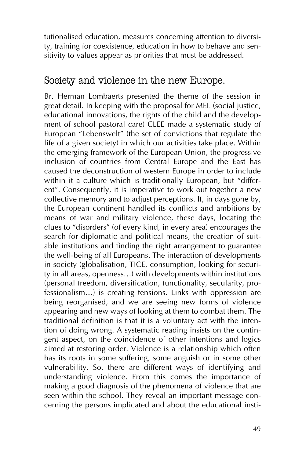tutionalised education, measures concerning attention to diversity, training for coexistence, education in how to behave and sensitivity to values appear as priorities that must be addressed.

### Society and violence in the new Europe.

Br. Herman Lombaerts presented the theme of the session in great detail. In keeping with the proposal for MEL (social justice, educational innovations, the rights of the child and the development of school pastoral care) CLEE made a systematic study of European "Lebenswelt" (the set of convictions that regulate the life of a given society) in which our activities take place. Within the emerging framework of the European Union, the progressive inclusion of countries from Central Europe and the East has caused the deconstruction of western Europe in order to include within it a culture which is traditionally European, but "different". Consequently, it is imperative to work out together a new collective memory and to adjust perceptions. If, in days gone by, the European continent handled its conflicts and ambitions by means of war and military violence, these days, locating the clues to "disorders" (of every kind, in every area) encourages the search for diplomatic and political means, the creation of suitable institutions and finding the right arrangement to guarantee the well-being of all Europeans. The interaction of developments in society (globalisation, TICE, consumption, looking for security in all areas, openness…) with developments within institutions (personal freedom, diversification, functionality, secularity, professionalism…) is creating tensions. Links with oppression are being reorganised, and we are seeing new forms of violence appearing and new ways of looking at them to combat them. The traditional definition is that it is a voluntary act with the intention of doing wrong. A systematic reading insists on the contingent aspect, on the coincidence of other intentions and logics aimed at restoring order. Violence is a relationship which often has its roots in some suffering, some anguish or in some other vulnerability. So, there are different ways of identifying and understanding violence. From this comes the importance of making a good diagnosis of the phenomena of violence that are seen within the school. They reveal an important message concerning the persons implicated and about the educational insti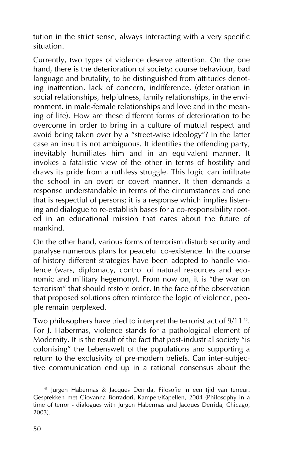tution in the strict sense, always interacting with a very specific situation.

Currently, two types of violence deserve attention. On the one hand, there is the deterioration of society: course behaviour, bad language and brutality, to be distinguished from attitudes denoting inattention, lack of concern, indifference, (deterioration in social relationships, helpfulness, family relationships, in the environment, in male-female relationships and love and in the meaning of life). How are these different forms of deterioration to be overcome in order to bring in a culture of mutual respect and avoid being taken over by a "street-wise ideology"? In the latter case an insult is not ambiguous. It identifies the offending party, inevitably humiliates him and in an equivalent manner. It invokes a fatalistic view of the other in terms of hostility and draws its pride from a ruthless struggle. This logic can infiltrate the school in an overt or covert manner. It then demands a response understandable in terms of the circumstances and one that is respectful of persons; it is a response which implies listening and dialogue to re-establish bases for a co-responsibility rooted in an educational mission that cares about the future of mankind.

On the other hand, various forms of terrorism disturb security and paralyse numerous plans for peaceful co-existence. In the course of history different strategies have been adopted to handle violence (wars, diplomacy, control of natural resources and economic and military hegemony). From now on, it is "the war on terrorism" that should restore order. In the face of the observation that proposed solutions often reinforce the logic of violence, people remain perplexed.

Two philosophers have tried to interpret the terrorist act of 9/11<sup>45</sup>. For J. Habermas, violence stands for a pathological element of Modernity. It is the result of the fact that post-industrial society "is colonising" the Lebenswelt of the populations and supporting a return to the exclusivity of pre-modern beliefs. Can inter-subjective communication end up in a rational consensus about the

<sup>&</sup>lt;sup>45</sup> Jurgen Habermas & Jacques Derrida, Filosofie in een tjid van terreur. Gesprekken met Giovanna Borradori, Kampen/Kapellen, 2004 (Philosophy in a time of terror - dialogues with Jurgen Habermas and Jacques Derrida, Chicago, 2003).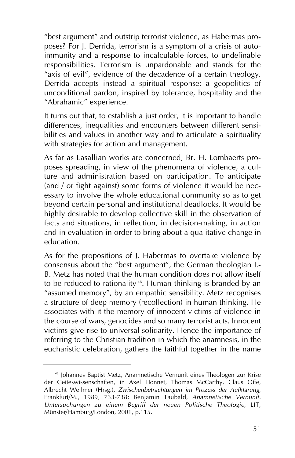"best argument" and outstrip terrorist violence, as Habermas proposes? For J. Derrida, terrorism is a symptom of a crisis of autoimmunity and a response to incalculable forces, to undefinable responsibilities. Terrorism is unpardonable and stands for the "axis of evil", evidence of the decadence of a certain theology. Derrida accepts instead a spiritual response: a geopolitics of unconditional pardon, inspired by tolerance, hospitality and the "Abrahamic" experience.

It turns out that, to establish a just order, it is important to handle differences, inequalities and encounters between different sensibilities and values in another way and to articulate a spirituality with strategies for action and management.

As far as Lasallian works are concerned, Br. H. Lombaerts proposes spreading, in view of the phenomena of violence, a culture and administration based on participation. To anticipate (and / or fight against) some forms of violence it would be necessary to involve the whole educational community so as to get beyond certain personal and institutional deadlocks. It would be highly desirable to develop collective skill in the observation of facts and situations, in reflection, in decision-making, in action and in evaluation in order to bring about a qualitative change in education.

As for the propositions of J. Habermas to overtake violence by consensus about the "best argument", the German theologian J.- B. Metz has noted that the human condition does not allow itself to be reduced to rationality<sup>46</sup>. Human thinking is branded by an "assumed memory", by an empathic sensibility. Metz recognises a structure of deep memory (recollection) in human thinking. He associates with it the memory of innocent victims of violence in the course of wars, genocides and so many terrorist acts. Innocent victims give rise to universal solidarity. Hence the importance of referring to the Christian tradition in which the anamnesis, in the eucharistic celebration, gathers the faithful together in the name

<sup>46</sup> Johannes Baptist Metz, Anamnetische Vernunft eines Theologen zur Krise der Geiteswissenschaften, in Axel Honnet, Thomas McCarthy, Claus Offe, Albrecht Wellmer (Hrsg.), *Zwischenbetrachtungen im Prozess der Aufklärung*, Frankfurt/M., 1989, 733-738; Benjamin Taubald, *Anamnetische Vernunft. Untersuchungen zu einem Begriff der neuen Politische Theologie*, LIT, Münster/Hamburg/London, 2001, p.115.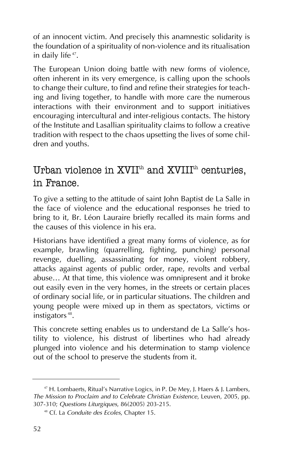of an innocent victim. And precisely this anamnestic solidarity is the foundation of a spirituality of non-violence and its ritualisation in daily life 47.

The European Union doing battle with new forms of violence, often inherent in its very emergence, is calling upon the schools to change their culture, to find and refine their strategies for teaching and living together, to handle with more care the numerous interactions with their environment and to support initiatives encouraging intercultural and inter-religious contacts. The history of the Institute and Lasallian spirituality claims to follow a creative tradition with respect to the chaos upsetting the lives of some children and youths.

## Urban violence in  $XVII<sup>th</sup>$  and  $XVIII<sup>th</sup>$  centuries, in France.

To give a setting to the attitude of saint John Baptist de La Salle in the face of violence and the educational responses he tried to bring to it, Br. Léon Lauraire briefly recalled its main forms and the causes of this violence in his era.

Historians have identified a great many forms of violence, as for example, brawling (quarrelling, fighting, punching) personal revenge, duelling, assassinating for money, violent robbery, attacks against agents of public order, rape, revolts and verbal abuse… At that time, this violence was omnipresent and it broke out easily even in the very homes, in the streets or certain places of ordinary social life, or in particular situations. The children and young people were mixed up in them as spectators, victims or instigators<sup>48</sup>.

This concrete setting enables us to understand de La Salle's hostility to violence, his distrust of libertines who had already plunged into violence and his determination to stamp violence out of the school to preserve the students from it.

<sup>&</sup>lt;sup>47</sup> H. Lombaerts, Ritual's Narrative Logics, in P. De Mey, J. Haers & J. Lambers, *The Mission to Proclaim and to Celebrate Christian Existence*, Leuven, 2005, pp. 307-310; *Questions Liturgiques*, 86(2005) 203-215.

<sup>48</sup> Cf. La *Conduite des Ecoles*, Chapter 15.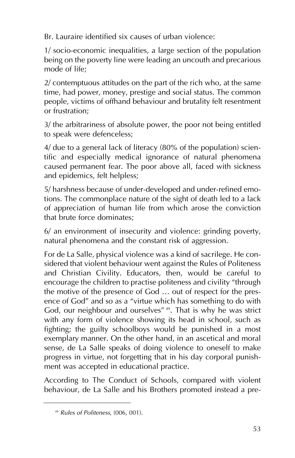Br. Lauraire identified six causes of urban violence:

1/ socio-economic inequalities, a large section of the population being on the poverty line were leading an uncouth and precarious mode of life;

2/ contemptuous attitudes on the part of the rich who, at the same time, had power, money, prestige and social status. The common people, victims of offhand behaviour and brutality felt resentment or frustration;

3/ the arbitrariness of absolute power, the poor not being entitled to speak were defenceless;

4/ due to a general lack of literacy (80% of the population) scientific and especially medical ignorance of natural phenomena caused permanent fear. The poor above all, faced with sickness and epidemics, felt helpless;

5/ harshness because of under-developed and under-refined emotions. The commonplace nature of the sight of death led to a lack of appreciation of human life from which arose the conviction that brute force dominates;

6/ an environment of insecurity and violence: grinding poverty, natural phenomena and the constant risk of aggression.

For de La Salle, physical violence was a kind of sacrilege. He considered that violent behaviour went against the Rules of Politeness and Christian Civility. Educators, then, would be careful to encourage the children to practise politeness and civility "through the motive of the presence of God … out of respect for the presence of God" and so as a "virtue which has something to do with God, our neighbour and ourselves" <sup>49</sup>. That is why he was strict with any form of violence showing its head in school, such as fighting; the guilty schoolboys would be punished in a most exemplary manner. On the other hand, in an ascetical and moral sense, de La Salle speaks of doing violence to oneself to make progress in virtue, not forgetting that in his day corporal punishment was accepted in educational practice.

According to The Conduct of Schools, compared with violent behaviour, de La Salle and his Brothers promoted instead a pre-

<sup>49</sup> *Rules of Politeness*, (006, 001).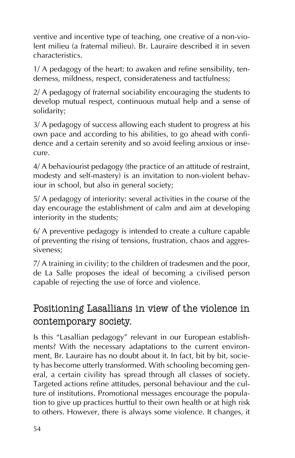ventive and incentive type of teaching, one creative of a non-violent milieu (a fraternal milieu). Br. Lauraire described it in seven characteristics.

1/ A pedagogy of the heart: to awaken and refine sensibility, tenderness, mildness, respect, considerateness and tactfulness;

2/ A pedagogy of fraternal sociability encouraging the students to develop mutual respect, continuous mutual help and a sense of solidarity;

3/ A pedagogy of success allowing each student to progress at his own pace and according to his abilities, to go ahead with confidence and a certain serenity and so avoid feeling anxious or insecure.

4/ A behaviourist pedagogy (the practice of an attitude of restraint, modesty and self-mastery) is an invitation to non-violent behaviour in school, but also in general society;

5/ A pedagogy of interiority: several activities in the course of the day encourage the establishment of calm and aim at developing interiority in the students;

6/ A preventive pedagogy is intended to create a culture capable of preventing the rising of tensions, frustration, chaos and aggressiveness;

7/ A training in civility; to the children of tradesmen and the poor, de La Salle proposes the ideal of becoming a civilised person capable of rejecting the use of force and violence.

## Positioning Lasallians in view of the violence in contemporary society.

Is this "Lasallian pedagogy" relevant in our European establishments? With the necessary adaptations to the current environment, Br. Lauraire has no doubt about it. In fact, bit by bit, society has become utterly transformed. With schooling becoming general, a certain civility has spread through all classes of society. Targeted actions refine attitudes, personal behaviour and the culture of institutions. Promotional messages encourage the population to give up practices hurtful to their own health or at high risk to others. However, there is always some violence. It changes, it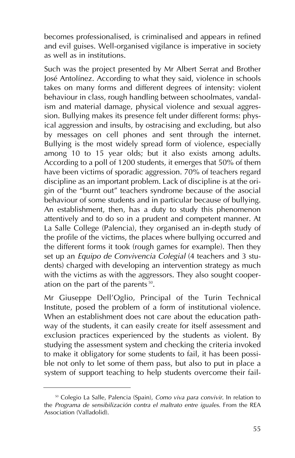becomes professionalised, is criminalised and appears in refined and evil guises. Well-organised vigilance is imperative in society as well as in institutions.

Such was the project presented by Mr Albert Serrat and Brother José Antolínez. According to what they said, violence in schools takes on many forms and different degrees of intensity: violent behaviour in class, rough handling between schoolmates, vandalism and material damage, physical violence and sexual aggression. Bullying makes its presence felt under different forms: physical aggression and insults, by ostracising and excluding, but also by messages on cell phones and sent through the internet. Bullying is the most widely spread form of violence, especially among 10 to 15 year olds; but it also exists among adults. According to a poll of 1200 students, it emerges that 50% of them have been victims of sporadic aggression. 70% of teachers regard discipline as an important problem. Lack of discipline is at the origin of the "burnt out" teachers syndrome because of the asocial behaviour of some students and in particular because of bullying. An establishment, then, has a duty to study this phenomenon attentively and to do so in a prudent and competent manner. At La Salle College (Palencia), they organised an in-depth study of the profile of the victims, the places where bullying occurred and the different forms it took (rough games for example). Then they set up an *Equipo de Convivencia Colegial* (4 teachers and 3 students) charged with developing an intervention strategy as much with the victims as with the aggressors. They also sought cooperation on the part of the parents  $50^{\circ}$ .

Mr Giuseppe Dell'Oglio, Principal of the Turin Technical Institute, posed the problem of a form of institutional violence. When an establishment does not care about the education pathway of the students, it can easily create for itself assessment and exclusion practices experienced by the students as violent. By studying the assessment system and checking the criteria invoked to make it obligatory for some students to fail, it has been possible not only to let some of them pass, but also to put in place a system of support teaching to help students overcome their fail-

<sup>50</sup> Colegio La Salle, Palencia (Spain), *Como viva para convivir*. In relation to the *Programa de sensibilización contra el maltrato entre iguales*. From the REA Association (Valladolid).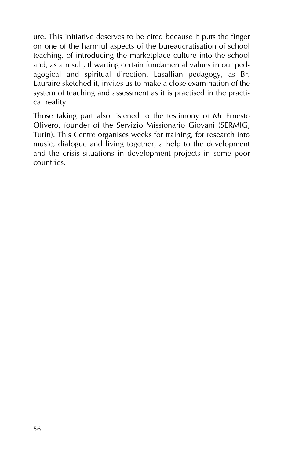ure. This initiative deserves to be cited because it puts the finger on one of the harmful aspects of the bureaucratisation of school teaching, of introducing the marketplace culture into the school and, as a result, thwarting certain fundamental values in our pedagogical and spiritual direction. Lasallian pedagogy, as Br. Lauraire sketched it, invites us to make a close examination of the system of teaching and assessment as it is practised in the practical reality.

Those taking part also listened to the testimony of Mr Ernesto Olivero, founder of the Servizio Missionario Giovani (SERMIG, Turin). This Centre organises weeks for training, for research into music, dialogue and living together, a help to the development and the crisis situations in development projects in some poor countries.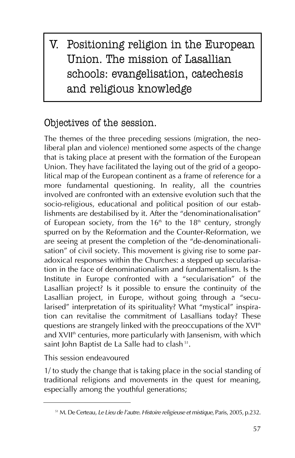V. Positioning religion in the European Union. The mission of Lasallian schools: evangelisation, catechesis and religious knowledge

### Objectives of the session.

The themes of the three preceding sessions (migration, the neoliberal plan and violence) mentioned some aspects of the change that is taking place at present with the formation of the European Union. They have facilitated the laying out of the grid of a geopolitical map of the European continent as a frame of reference for a more fundamental questioning. In reality, all the countries involved are confronted with an extensive evolution such that the socio-religious, educational and political position of our establishments are destabilised by it. After the "denominationalisation" of European society, from the  $16<sup>th</sup>$  to the  $18<sup>th</sup>$  century, strongly spurred on by the Reformation and the Counter-Reformation, we are seeing at present the completion of the "de-denominationalisation" of civil society. This movement is giving rise to some paradoxical responses within the Churches: a stepped up secularisation in the face of denominationalism and fundamentalism. Is the Institute in Europe confronted with a "secularisation" of the Lasallian project? Is it possible to ensure the continuity of the Lasallian project, in Europe, without going through a "secularised" interpretation of its spirituality? What "mystical" inspiration can revitalise the commitment of Lasallians today? These questions are strangely linked with the preoccupations of the XVI<sup>th</sup> and XVII<sup>th</sup> centuries, more particularly with Jansenism, with which saint John Baptist de La Salle had to clash<sup>51</sup>.

This session endeavoured

1/ to study the change that is taking place in the social standing of traditional religions and movements in the quest for meaning, especially among the youthful generations;

<sup>51</sup> M. De Certeau, *Le Lieu de l'autre. Histoire religieuse et mistique*, Paris, 2005, p.232.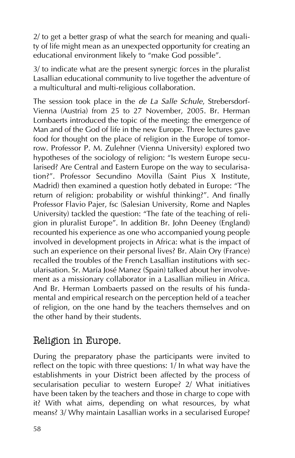2/ to get a better grasp of what the search for meaning and quality of life might mean as an unexpected opportunity for creating an educational environment likely to "make God possible".

3/ to indicate what are the present synergic forces in the pluralist Lasallian educational community to live together the adventure of a multicultural and multi-religious collaboration.

The session took place in the *de La Salle Schule*, Strebersdorf-Vienna (Austria) from 25 to 27 November, 2005. Br. Herman Lombaerts introduced the topic of the meeting: the emergence of Man and of the God of life in the new Europe. Three lectures gave food for thought on the place of religion in the Europe of tomorrow. Professor P. M. Zulehner (Vienna University) explored two hypotheses of the sociology of religion: "Is western Europe secularised? Are Central and Eastern Europe on the way to secularisation?". Professor Secundino Movilla (Saint Pius X Institute, Madrid) then examined a question hotly debated in Europe: "The return of religion: probability or wishful thinking?". And finally Professor Flavio Pajer, fsc (Salesian University, Rome and Naples University) tackled the question: "The fate of the teaching of religion in pluralist Europe". In addition Br. John Deeney (England) recounted his experience as one who accompanied young people involved in development projects in Africa: what is the impact of such an experience on their personal lives? Br. Alain Ory (France) recalled the troubles of the French Lasallian institutions with secularisation. Sr. María José Manez (Spain) talked about her involvement as a missionary collaborator in a Lasallian milieu in Africa. And Br. Herman Lombaerts passed on the results of his fundamental and empirical research on the perception held of a teacher of religion, on the one hand by the teachers themselves and on the other hand by their students.

### Religion in Europe.

During the preparatory phase the participants were invited to reflect on the topic with three questions: 1/ In what way have the establishments in your District been affected by the process of secularisation peculiar to western Europe? 2/ What initiatives have been taken by the teachers and those in charge to cope with it? With what aims, depending on what resources, by what means? 3/ Why maintain Lasallian works in a secularised Europe?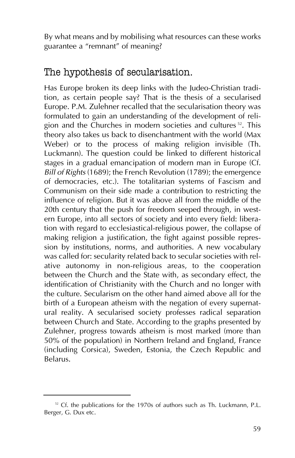By what means and by mobilising what resources can these works guarantee a "remnant" of meaning?

### The hypothesis of secularisation.

Has Europe broken its deep links with the Judeo-Christian tradition, as certain people say? That is the thesis of a secularised Europe. P.M. Zulehner recalled that the secularisation theory was formulated to gain an understanding of the development of religion and the Churches in modern societies and cultures 52. This theory also takes us back to disenchantment with the world (Max Weber) or to the process of making religion invisible (Th. Luckmann). The question could be linked to different historical stages in a gradual emancipation of modern man in Europe (Cf. *Bill of Rights* (1689); the French Revolution (1789); the emergence of democracies, etc.). The totalitarian systems of Fascism and Communism on their side made a contribution to restricting the influence of religion. But it was above all from the middle of the 20th century that the push for freedom seeped through, in western Europe, into all sectors of society and into every field: liberation with regard to ecclesiastical-religious power, the collapse of making religion a justification, the fight against possible repression by institutions, norms, and authorities. A new vocabulary was called for: secularity related back to secular societies with relative autonomy in non-religious areas, to the cooperation between the Church and the State with, as secondary effect, the identification of Christianity with the Church and no longer with the culture. Secularism on the other hand aimed above all for the birth of a European atheism with the negation of every supernatural reality. A secularised society professes radical separation between Church and State. According to the graphs presented by Zulehner, progress towards atheism is most marked (more than 50% of the population) in Northern Ireland and England, France (including Corsica), Sweden, Estonia, the Czech Republic and Belarus.

 $52$  Cf. the publications for the 1970s of authors such as Th. Luckmann, P.L. Berger, G. Dux etc.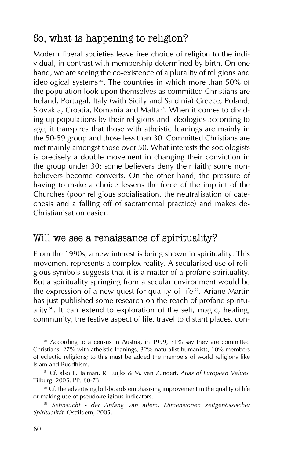## So, what is happening to religion?

Modern liberal societies leave free choice of religion to the individual, in contrast with membership determined by birth. On one hand, we are seeing the co-existence of a plurality of religions and ideological systems<sup>53</sup>. The countries in which more than 50% of the population look upon themselves as committed Christians are Ireland, Portugal, Italy (with Sicily and Sardinia) Greece, Poland, Slovakia, Croatia, Romania and Malta<sup>54</sup>. When it comes to dividing up populations by their religions and ideologies according to age, it transpires that those with atheistic leanings are mainly in the 50-59 group and those less than 30. Committed Christians are met mainly amongst those over 50. What interests the sociologists is precisely a double movement in changing their conviction in the group under 30: some believers deny their faith; some nonbelievers become converts. On the other hand, the pressure of having to make a choice lessens the force of the imprint of the Churches (poor religious socialisation, the neutralisation of catechesis and a falling off of sacramental practice) and makes de-Christianisation easier.

#### Will we see a renaissance of spirituality?

From the 1990s, a new interest is being shown in spirituality. This movement represents a complex reality. A secularised use of religious symbols suggests that it is a matter of a profane spirituality. But a spirituality springing from a secular environment would be the expression of a new quest for quality of life<sup>55</sup>. Ariane Martin has just published some research on the reach of profane spirituality  $56$ . It can extend to exploration of the self, magic, healing, community, the festive aspect of life, travel to distant places, con-

<sup>&</sup>lt;sup>53</sup> According to a census in Austria, in 1999, 31% say they are committed Christians, 27% with atheistic leanings, 32% naturalist humanists, 10% members of eclectic religions; to this must be added the members of world religions like Islam and Buddhism.

<sup>54</sup> Cf. also L.Halman, R. Luijks & M. van Zundert, *Atlas of European Values*, Tilburg, 2005, PP. 60-73.

<sup>&</sup>lt;sup>55</sup> Cf. the advertising bill-boards emphasising improvement in the quality of life or making use of pseudo-religious indicators.

<sup>56</sup> *Sehnsucht - der Anfang van allem. Dimensionen zeitgenössischer Spiritualität*, Ostfildern, 2005.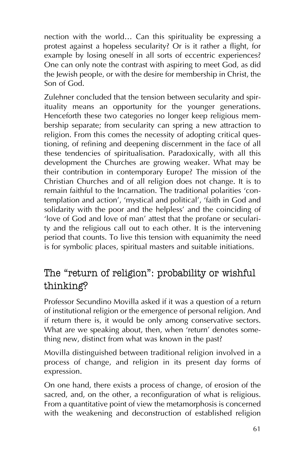nection with the world… Can this spirituality be expressing a protest against a hopeless secularity? Or is it rather a flight, for example by losing oneself in all sorts of eccentric experiences? One can only note the contrast with aspiring to meet God, as did the Jewish people, or with the desire for membership in Christ, the Son of God.

Zulehner concluded that the tension between secularity and spirituality means an opportunity for the younger generations. Henceforth these two categories no longer keep religious membership separate; from secularity can spring a new attraction to religion. From this comes the necessity of adopting critical questioning, of refining and deepening discernment in the face of all these tendencies of spiritualisation. Paradoxically, with all this development the Churches are growing weaker. What may be their contribution in contemporary Europe? The mission of the Christian Churches and of all religion does not change. It is to remain faithful to the Incarnation. The traditional polarities 'contemplation and action', 'mystical and political', 'faith in God and solidarity with the poor and the helpless' and the coinciding of 'love of God and love of man' attest that the profane or secularity and the religious call out to each other. It is the intervening period that counts. To live this tension with equanimity the need is for symbolic places, spiritual masters and suitable initiations.

## The "return of religion": probability or wishful thinking?

Professor Secundino Movilla asked if it was a question of a return of institutional religion or the emergence of personal religion. And if return there is, it would be only among conservative sectors. What are we speaking about, then, when 'return' denotes something new, distinct from what was known in the past?

Movilla distinguished between traditional religion involved in a process of change, and religion in its present day forms of expression.

On one hand, there exists a process of change, of erosion of the sacred, and, on the other, a reconfiguration of what is religious. From a quantitative point of view the metamorphosis is concerned with the weakening and deconstruction of established religion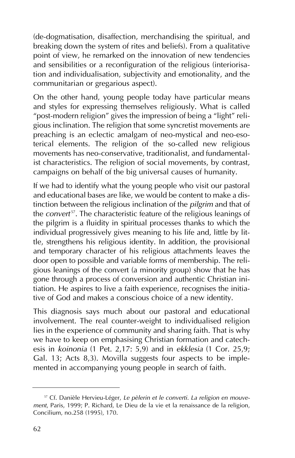(de-dogmatisation, disaffection, merchandising the spiritual, and breaking down the system of rites and beliefs). From a qualitative point of view, he remarked on the innovation of new tendencies and sensibilities or a reconfiguration of the religious (interiorisation and individualisation, subjectivity and emotionality, and the communitarian or gregarious aspect).

On the other hand, young people today have particular means and styles for expressing themselves religiously. What is called "post-modern religion" gives the impression of being a "light" religious inclination. The religion that some syncretist movements are preaching is an eclectic amalgam of neo-mystical and neo-esoterical elements. The religion of the so-called new religious movements has neo-conservative, traditionalist, and fundamentalist characteristics. The religion of social movements, by contrast, campaigns on behalf of the big universal causes of humanity.

If we had to identify what the young people who visit our pastoral and educational bases are like, we would be content to make a distinction between the religious inclination of the *pilgrim* and that of the *convert*<sup>57</sup>. The characteristic feature of the religious leanings of the pilgrim is a fluidity in spiritual processes thanks to which the individual progressively gives meaning to his life and, little by little, strengthens his religious identity. In addition, the provisional and temporary character of his religious attachments leaves the door open to possible and variable forms of membership. The religious leanings of the convert (a minority group) show that he has gone through a process of conversion and authentic Christian initiation. He aspires to live a faith experience, recognises the initiative of God and makes a conscious choice of a new identity.

This diagnosis says much about our pastoral and educational involvement. The real counter-weight to individualised religion lies in the experience of community and sharing faith. That is why we have to keep on emphasising Christian formation and catechesis in *koinonia* (1 Pet. 2,17: 5,9) and in *ekklesia* (1 Cor. 25,9; Gal. 13; Acts 8,3). Movilla suggests four aspects to be implemented in accompanying young people in search of faith.

<sup>57</sup> Cf. Danièle Hervieu-Léger, *Le pèlerin et le converti. La religion en mouvement*, Paris, 1999; P. Richard, Le Dieu de la vie et la renaissance de la religion, Concilium, no.258 (1995), 170.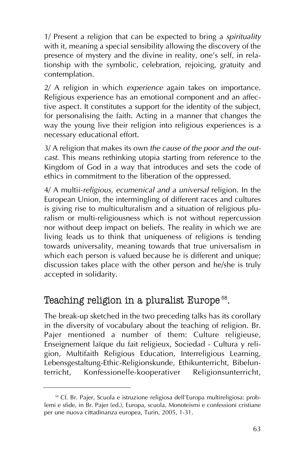1/ Present a religion that can be expected to bring a *spirituality* with it, meaning a special sensibility allowing the discovery of the presence of mystery and the divine in reality, one's self, in relationship with the symbolic, celebration, rejoicing, gratuity and contemplation.

2/ A religion in which *experience* again takes on importance. Religious experience has an emotional component and an affective aspect. It constitutes a support for the identity of the subject, for personalising the faith. Acting in a manner that changes the way the young live their religion into religious experiences is a necessary educational effort.

3/ A religion that makes its own *the cause of the poor and the outcast*. This means rethinking utopia starting from reference to the Kingdom of God in a way that introduces and sets the code of ethics in commitment to the liberation of the oppressed.

4/ A multii-*religious, ecumenical and a universal* religion. In the European Union, the intermingling of different races and cultures is giving rise to multiculturalism and a situation of religious pluralism or multi-religiousness which is not without repercussion nor without deep impact on beliefs. The reality in which we are living leads us to think that uniqueness of religions is tending towards universality, meaning towards that true universalism in which each person is valued because he is different and unique; discussion takes place with the other person and he/she is truly accepted in solidarity.

### Teaching religion in a pluralist Europe<sup>58</sup>.

The break-up sketched in the two preceding talks has its corollary in the diversity of vocabulary about the teaching of religion. Br. Pajer mentioned a number of them: Culture religieuse, Enseignement laïque du fait religieux, Sociedad - Cultura y religion, Multifaith Religious Education, Interreligious Learning, Lebensgestaltung-Ethic-Religionskunde, Ethikunterricht, Bibelunterricht, Konfessionelle-kooperativer Religionsunterricht,

<sup>58</sup> Cf. Br. Pajer, Scuola e istruzione religiosa dell'Europa multireligiosa: problemi e sfide, in Br. Pajer (ed.), Europa, scuola. Monoteismi e confessioni cristiane per une nuova cittadinanza europea, Turin, 2005, 1-31.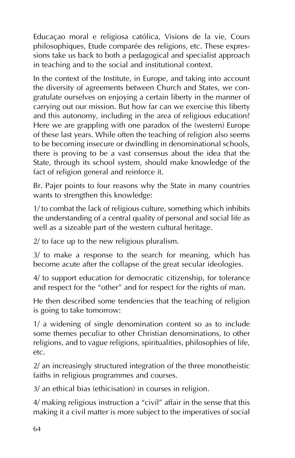Educaçao moral e religiosa católica, Visions de la vie, Cours philosophiques, Etude comparée des religions, etc. These expressions take us back to both a pedagogical and specialist approach in teaching and to the social and institutional context.

In the context of the Institute, in Europe, and taking into account the diversity of agreements between Church and States, we congratulate ourselves on enjoying a certain liberty in the manner of carrying out our mission. But how far can we exercise this liberty and this autonomy, including in the area of religious education? Here we are grappling with one paradox of the (western) Europe of these last years. While often the teaching of religion also seems to be becoming insecure or dwindling in denominational schools, there is proving to be a vast consensus about the idea that the State, through its school system, should make knowledge of the fact of religion general and reinforce it.

Br. Pajer points to four reasons why the State in many countries wants to strengthen this knowledge:

1/ to combat the lack of religious culture, something which inhibits the understanding of a central quality of personal and social life as well as a sizeable part of the western cultural heritage.

2/ to face up to the new religious pluralism.

3/ to make a response to the search for meaning, which has become acute after the collapse of the great secular ideologies.

4/ to support education for democratic citizenship, for tolerance and respect for the "other" and for respect for the rights of man.

He then described some tendencies that the teaching of religion is going to take tomorrow:

1/ a widening of single denomination content so as to include some themes peculiar to other Christian denominations, to other religions, and to vague religions, spiritualities, philosophies of life, etc.

2/ an increasingly structured integration of the three monotheistic faiths in religious programmes and courses.

3/ an ethical bias (ethicisation) in courses in religion.

4/ making religious instruction a "civil" affair in the sense that this making it a civil matter is more subject to the imperatives of social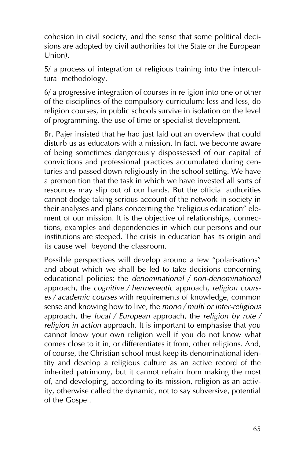cohesion in civil society, and the sense that some political decisions are adopted by civil authorities (of the State or the European Union).

5/ a process of integration of religious training into the intercultural methodology.

6/ a progressive integration of courses in religion into one or other of the disciplines of the compulsory curriculum: less and less, do religion courses, in public schools survive in isolation on the level of programming, the use of time or specialist development.

Br. Pajer insisted that he had just laid out an overview that could disturb us as educators with a mission. In fact, we become aware of being sometimes dangerously dispossessed of our capital of convictions and professional practices accumulated during centuries and passed down religiously in the school setting. We have a premonition that the task in which we have invested all sorts of resources may slip out of our hands. But the official authorities cannot dodge taking serious account of the network in society in their analyses and plans concerning the "religious education" element of our mission. It is the objective of relationships, connections, examples and dependencies in which our persons and our institutions are steeped. The crisis in education has its origin and its cause well beyond the classroom.

Possible perspectives will develop around a few "polarisations" and about which we shall be led to take decisions concerning educational policies: the *denominational / non-denominational* approach, the *cognitive / hermeneutic* approach, *religion courses / academic courses* with requirements of knowledge, common sense and knowing how to live, the *mono / multi or inter-religious* approach, the *local / European* approach, the *religion by rote / religion in action* approach. It is important to emphasise that you cannot know your own religion well if you do not know what comes close to it in, or differentiates it from, other religions. And, of course, the Christian school must keep its denominational identity and develop a religious culture as an active record of the inherited patrimony, but it cannot refrain from making the most of, and developing, according to its mission, religion as an activity, otherwise called the dynamic, not to say subversive, potential of the Gospel.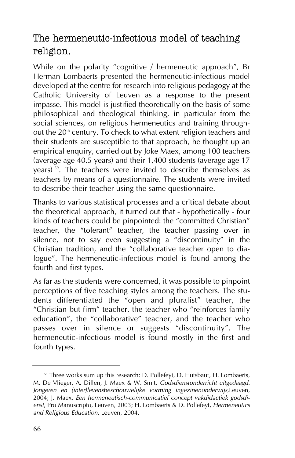## The hermeneutic-infectious model of teaching religion.

While on the polarity "cognitive / hermeneutic approach", Br Herman Lombaerts presented the hermeneutic-infectious model developed at the centre for research into religious pedagogy at the Catholic University of Leuven as a response to the present impasse. This model is justified theoretically on the basis of some philosophical and theological thinking, in particular from the social sciences, on religious hermeneutics and training throughout the 20<sup>th</sup> century. To check to what extent religion teachers and their students are susceptible to that approach, he thought up an empirical enquiry, carried out by Joke Maex, among 100 teachers (average age 40.5 years) and their 1,400 students (average age 17 years)<sup>59</sup>. The teachers were invited to describe themselves as teachers by means of a questionnaire. The students were invited to describe their teacher using the same questionnaire.

Thanks to various statistical processes and a critical debate about the theoretical approach, it turned out that - hypothetically - four kinds of teachers could be pinpointed: the "committed Christian" teacher, the "tolerant" teacher, the teacher passing over in silence, not to say even suggesting a "discontinuity" in the Christian tradition, and the "collaborative teacher open to dialogue". The hermeneutic-infectious model is found among the fourth and first types.

As far as the students were concerned, it was possible to pinpoint perceptions of five teaching styles among the teachers. The students differentiated the "open and pluralist" teacher, the "Christian but firm" teacher, the teacher who "reinforces family education", the "collaborative" teacher, and the teacher who passes over in silence or suggests "discontinuity". The hermeneutic-infectious model is found mostly in the first and fourth types.

<sup>&</sup>lt;sup>59</sup> Three works sum up this research: D. Pollefeyt, D. Hutsbaut, H. Lombaerts, M. De Vlieger, A. Dillen, J. Maex & W. Smit, *Godsdienstonderricht uitgedaagd. Jongeren en (inter)levensbeschouwelijke vorming ingezinenonderwijs*,Leuven, 2004; J. Maex, *Een hermeneutisch-communicatief concept vakdidactiek godsdienst*, Pro Manuscripto, Leuven, 2003; H. Lombaerts & D. Pollefeyt, *Hermeneutics and Religious Education*, Leuven, 2004.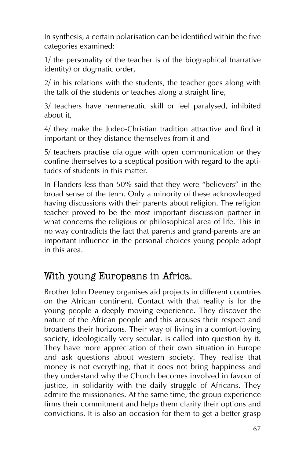In synthesis, a certain polarisation can be identified within the five categories examined:

1/ the personality of the teacher is of the biographical (narrative identity) or dogmatic order,

2/ in his relations with the students, the teacher goes along with the talk of the students or teaches along a straight line,

3/ teachers have hermeneutic skill or feel paralysed, inhibited about it,

4/ they make the Judeo-Christian tradition attractive and find it important or they distance themselves from it and

5/ teachers practise dialogue with open communication or they confine themselves to a sceptical position with regard to the aptitudes of students in this matter.

In Flanders less than 50% said that they were "believers" in the broad sense of the term. Only a minority of these acknowledged having discussions with their parents about religion. The religion teacher proved to be the most important discussion partner in what concerns the religious or philosophical area of life. This in no way contradicts the fact that parents and grand-parents are an important influence in the personal choices young people adopt in this area.

### With young Europeans in Africa.

Brother John Deeney organises aid projects in different countries on the African continent. Contact with that reality is for the young people a deeply moving experience. They discover the nature of the African people and this arouses their respect and broadens their horizons. Their way of living in a comfort-loving society, ideologically very secular, is called into question by it. They have more appreciation of their own situation in Europe and ask questions about western society. They realise that money is not everything, that it does not bring happiness and they understand why the Church becomes involved in favour of justice, in solidarity with the daily struggle of Africans. They admire the missionaries. At the same time, the group experience firms their commitment and helps them clarify their options and convictions. It is also an occasion for them to get a better grasp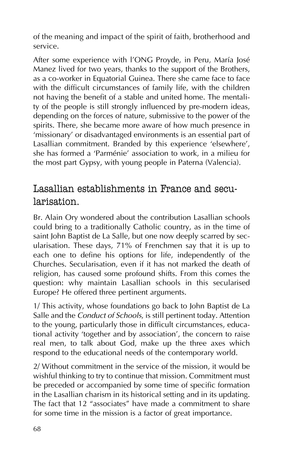of the meaning and impact of the spirit of faith, brotherhood and service.

After some experience with l'ONG Proyde, in Peru, María José Manez lived for two years, thanks to the support of the Brothers, as a co-worker in Equatorial Guinea. There she came face to face with the difficult circumstances of family life, with the children not having the benefit of a stable and united home. The mentality of the people is still strongly influenced by pre-modern ideas, depending on the forces of nature, submissive to the power of the spirits. There, she became more aware of how much presence in 'missionary' or disadvantaged environments is an essential part of Lasallian commitment. Branded by this experience 'elsewhere', she has formed a 'Parménie' association to work, in a milieu for the most part Gypsy, with young people in Paterna (Valencia).

## Lasallian establishments in France and secularisation.

Br. Alain Ory wondered about the contribution Lasallian schools could bring to a traditionally Catholic country, as in the time of saint John Baptist de La Salle, but one now deeply scarred by secularisation. These days, 71% of Frenchmen say that it is up to each one to define his options for life, independently of the Churches. Secularisation, even if it has not marked the death of religion, has caused some profound shifts. From this comes the question: why maintain Lasallian schools in this secularised Europe? He offered three pertinent arguments.

1/ This activity, whose foundations go back to John Baptist de La Salle and the *Conduct of Schools*, is still pertinent today. Attention to the young, particularly those in difficult circumstances, educational activity 'together and by association', the concern to raise real men, to talk about God, make up the three axes which respond to the educational needs of the contemporary world.

2/ Without commitment in the service of the mission, it would be wishful thinking to try to continue that mission. Commitment must be preceded or accompanied by some time of specific formation in the Lasallian charism in its historical setting and in its updating. The fact that 12 "associates" have made a commitment to share for some time in the mission is a factor of great importance.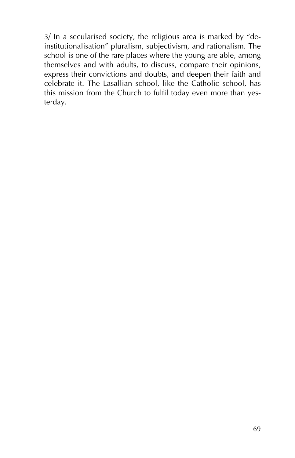3/ In a secularised society, the religious area is marked by "deinstitutionalisation" pluralism, subjectivism, and rationalism. The school is one of the rare places where the young are able, among themselves and with adults, to discuss, compare their opinions, express their convictions and doubts, and deepen their faith and celebrate it. The Lasallian school, like the Catholic school, has this mission from the Church to fulfil today even more than yesterday.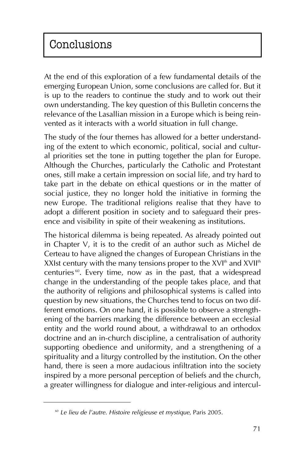At the end of this exploration of a few fundamental details of the emerging European Union, some conclusions are called for. But it is up to the readers to continue the study and to work out their own understanding. The key question of this Bulletin concerns the relevance of the Lasallian mission in a Europe which is being reinvented as it interacts with a world situation in full change.

The study of the four themes has allowed for a better understanding of the extent to which economic, political, social and cultural priorities set the tone in putting together the plan for Europe. Although the Churches, particularly the Catholic and Protestant ones, still make a certain impression on social life, and try hard to take part in the debate on ethical questions or in the matter of social justice, they no longer hold the initiative in forming the new Europe. The traditional religions realise that they have to adopt a different position in society and to safeguard their presence and visibility in spite of their weakening as institutions.

The historical dilemma is being repeated. As already pointed out in Chapter V, it is to the credit of an author such as Michel de Certeau to have aligned the changes of European Christians in the XXIst century with the many tensions proper to the  $XVI<sup>th</sup>$  and  $XVII<sup>th</sup>$ centuries 60. Every time, now as in the past, that a widespread change in the understanding of the people takes place, and that the authority of religions and philosophical systems is called into question by new situations, the Churches tend to focus on two different emotions. On one hand, it is possible to observe a strengthening of the barriers marking the difference between an ecclesial entity and the world round about, a withdrawal to an orthodox doctrine and an in-church discipline, a centralisation of authority supporting obedience and uniformity, and a strengthening of a spirituality and a liturgy controlled by the institution. On the other hand, there is seen a more audacious infiltration into the society inspired by a more personal perception of beliefs and the church, a greater willingness for dialogue and inter-religious and intercul-

<sup>60</sup> *Le lieu de l'autre. Histoire religieuse et mystique*, Paris 2005.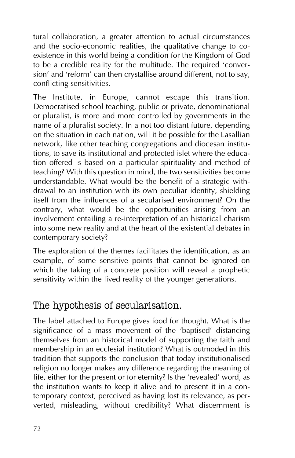tural collaboration, a greater attention to actual circumstances and the socio-economic realities, the qualitative change to coexistence in this world being a condition for the Kingdom of God to be a credible reality for the multitude. The required 'conversion' and 'reform' can then crystallise around different, not to say, conflicting sensitivities.

The Institute, in Europe, cannot escape this transition. Democratised school teaching, public or private, denominational or pluralist, is more and more controlled by governments in the name of a pluralist society. In a not too distant future, depending on the situation in each nation, will it be possible for the Lasallian network, like other teaching congregations and diocesan institutions, to save its institutional and protected islet where the education offered is based on a particular spirituality and method of teaching? With this question in mind, the two sensitivities become understandable. What would be the benefit of a strategic withdrawal to an institution with its own peculiar identity, shielding itself from the influences of a secularised environment? On the contrary, what would be the opportunities arising from an involvement entailing a re-interpretation of an historical charism into some new reality and at the heart of the existential debates in contemporary society?

The exploration of the themes facilitates the identification, as an example, of some sensitive points that cannot be ignored on which the taking of a concrete position will reveal a prophetic sensitivity within the lived reality of the younger generations.

### The hypothesis of secularisation.

The label attached to Europe gives food for thought. What is the significance of a mass movement of the 'baptised' distancing themselves from an historical model of supporting the faith and membership in an ecclesial institution? What is outmoded in this tradition that supports the conclusion that today institutionalised religion no longer makes any difference regarding the meaning of life, either for the present or for eternity? Is the 'revealed' word, as the institution wants to keep it alive and to present it in a contemporary context, perceived as having lost its relevance, as perverted, misleading, without credibility? What discernment is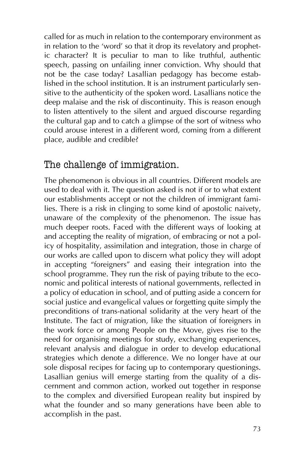called for as much in relation to the contemporary environment as in relation to the 'word' so that it drop its revelatory and prophetic character? It is peculiar to man to like truthful, authentic speech, passing on unfailing inner conviction. Why should that not be the case today? Lasallian pedagogy has become established in the school institution. It is an instrument particularly sensitive to the authenticity of the spoken word. Lasallians notice the deep malaise and the risk of discontinuity. This is reason enough to listen attentively to the silent and argued discourse regarding the cultural gap and to catch a glimpse of the sort of witness who could arouse interest in a different word, coming from a different place, audible and credible?

### The challenge of immigration.

The phenomenon is obvious in all countries. Different models are used to deal with it. The question asked is not if or to what extent our establishments accept or not the children of immigrant families. There is a risk in clinging to some kind of apostolic naivety, unaware of the complexity of the phenomenon. The issue has much deeper roots. Faced with the different ways of looking at and accepting the reality of migration, of embracing or not a policy of hospitality, assimilation and integration, those in charge of our works are called upon to discern what policy they will adopt in accepting "foreigners" and easing their integration into the school programme. They run the risk of paying tribute to the economic and political interests of national governments, reflected in a policy of education in school, and of putting aside a concern for social justice and evangelical values or forgetting quite simply the preconditions of trans-national solidarity at the very heart of the Institute. The fact of migration, like the situation of foreigners in the work force or among People on the Move, gives rise to the need for organising meetings for study, exchanging experiences, relevant analysis and dialogue in order to develop educational strategies which denote a difference. We no longer have at our sole disposal recipes for facing up to contemporary questionings. Lasallian genius will emerge starting from the quality of a discernment and common action, worked out together in response to the complex and diversified European reality but inspired by what the founder and so many generations have been able to accomplish in the past.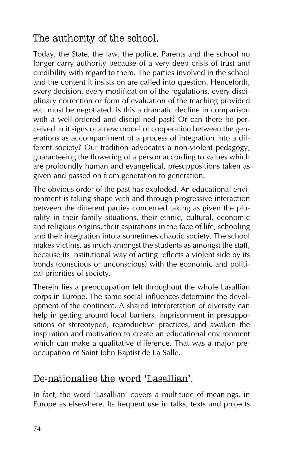## The authority of the school.

Today, the State, the law, the police, Parents and the school no longer carry authority because of a very deep crisis of trust and credibility with regard to them. The parties involved in the school and the content it insists on are called into question. Henceforth, every decision, every modification of the regulations, every disciplinary correction or form of evaluation of the teaching provided etc. must be negotiated. Is this a dramatic decline in comparison with a well-ordered and disciplined past? Or can there be perceived in it signs of a new model of cooperation between the generations as accompaniment of a process of integration into a different society? Our tradition advocates a non-violent pedagogy, guaranteeing the flowering of a person according to values which are profoundly human and evangelical, presuppositions taken as given and passed on from generation to generation.

The obvious order of the past has exploded. An educational environment is taking shape with and through progressive interaction between the different parties concerned taking as given the plurality in their family situations, their ethnic, cultural, economic and religious origins, their aspirations in the face of life, schooling and their integration into a sometimes chaotic society. The school makes victims, as much amongst the students as amongst the staff, because its institutional way of acting reflects a violent side by its bonds (conscious or unconscious) with the economic and political priorities of society.

Therein lies a preoccupation felt throughout the whole Lasallian corps in Europe. The same social influences determine the development of the continent. A shared interpretation of diversity can help in getting around local barriers, imprisonment in presuppositions or stereotyped, reproductive practices, and awaken the inspiration and motivation to create an educational environment which can make a qualitative difference. That was a major preoccupation of Saint John Baptist de La Salle.

### De-nationalise the word 'Lasallian'.

In fact, the word 'Lasallian' covers a multitude of meanings, in Europe as elsewhere. Its frequent use in talks, texts and projects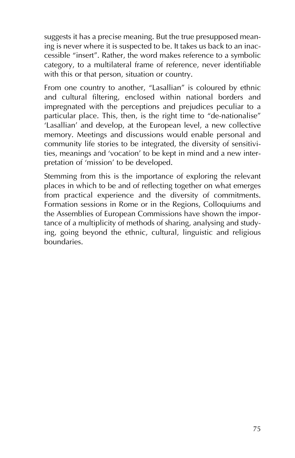suggests it has a precise meaning. But the true presupposed meaning is never where it is suspected to be. It takes us back to an inaccessible "insert". Rather, the word makes reference to a symbolic category, to a multilateral frame of reference, never identifiable with this or that person, situation or country.

From one country to another, "Lasallian" is coloured by ethnic and cultural filtering, enclosed within national borders and impregnated with the perceptions and prejudices peculiar to a particular place. This, then, is the right time to "de-nationalise" 'Lasallian' and develop, at the European level, a new collective memory. Meetings and discussions would enable personal and community life stories to be integrated, the diversity of sensitivities, meanings and 'vocation' to be kept in mind and a new interpretation of 'mission' to be developed.

Stemming from this is the importance of exploring the relevant places in which to be and of reflecting together on what emerges from practical experience and the diversity of commitments. Formation sessions in Rome or in the Regions, Colloquiums and the Assemblies of European Commissions have shown the importance of a multiplicity of methods of sharing, analysing and studying, going beyond the ethnic, cultural, linguistic and religious boundaries.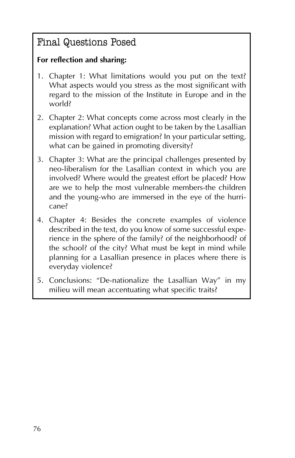## Final Questions Posed

#### **For reflection and sharing:**

- 1. Chapter 1: What limitations would you put on the text? What aspects would you stress as the most significant with regard to the mission of the Institute in Europe and in the world?
- 2. Chapter 2: What concepts come across most clearly in the explanation? What action ought to be taken by the Lasallian mission with regard to emigration? In your particular setting, what can be gained in promoting diversity?
- 3. Chapter 3: What are the principal challenges presented by neo-liberalism for the Lasallian context in which you are involved? Where would the greatest effort be placed? How are we to help the most vulnerable members-the children and the young-who are immersed in the eye of the hurricane?
- 4. Chapter 4: Besides the concrete examples of violence described in the text, do you know of some successful experience in the sphere of the family? of the neighborhood? of the school? of the city? What must be kept in mind while planning for a Lasallian presence in places where there is everyday violence?
- 5. Conclusions: "De-nationalize the Lasallian Way" in my milieu will mean accentuating what specific traits?